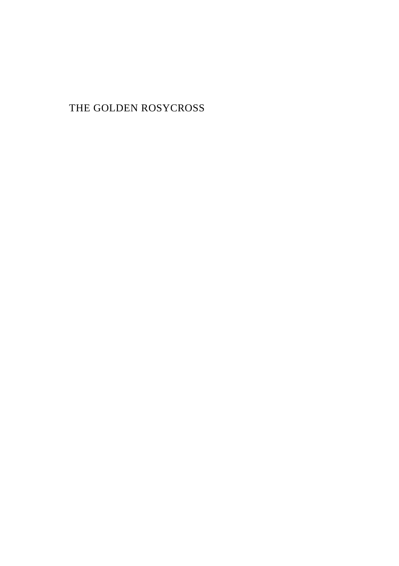THE GOLDEN ROSYCROSS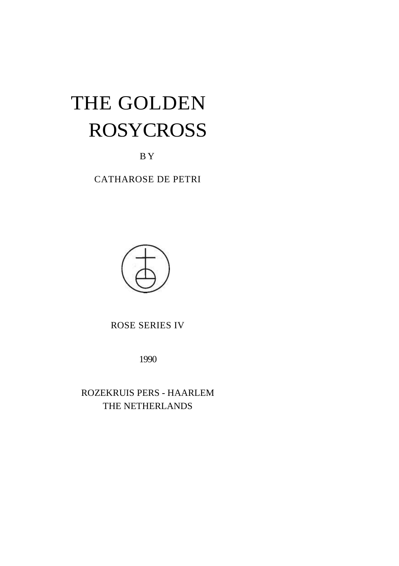# THE GOLDEN ROSYCROSS

B Y

CATHAROSE DE PETRI



ROSE SERIES IV

1990

ROZEKRUIS PERS - HAARLEM THE NETHERLANDS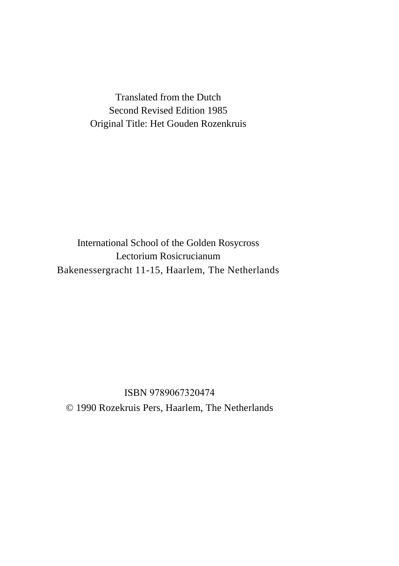Translated from the Dutch Second Revised Edition 1985 Original Title: Het Gouden Rozenkruis

International School of the Golden Rosycross Lectorium Rosicrucianum Bakenessergracht 11-15, Haarlem, The Netherlands

ISBN 9789067320474 © 1990 Rozekruis Pers, Haarlem, The Netherlands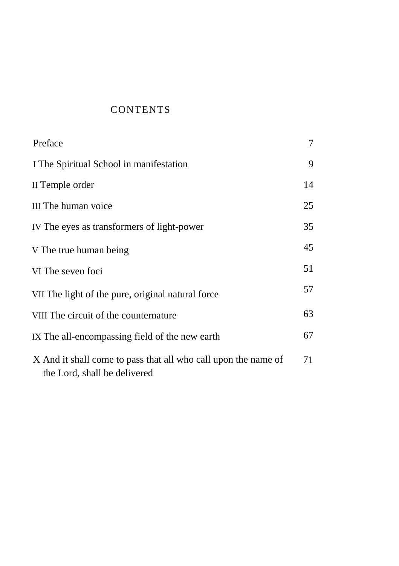# **CONTENTS**

| Preface                                                                                        | 7  |
|------------------------------------------------------------------------------------------------|----|
| I The Spiritual School in manifestation                                                        | 9  |
| II Temple order                                                                                | 14 |
| III The human voice                                                                            | 25 |
| IV The eyes as transformers of light-power                                                     | 35 |
| V The true human being                                                                         | 45 |
| VI The seven foci                                                                              | 51 |
| VII The light of the pure, original natural force                                              | 57 |
| VIII The circuit of the counternature                                                          | 63 |
| IX The all-encompassing field of the new earth                                                 | 67 |
| X And it shall come to pass that all who call upon the name of<br>the Lord, shall be delivered | 71 |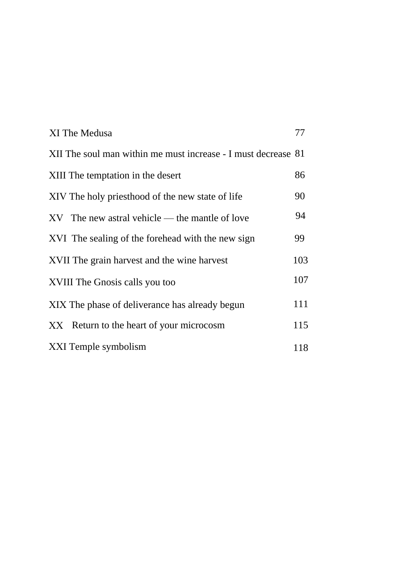| XI The Medusa                                                 | 77  |
|---------------------------------------------------------------|-----|
| XII The soul man within me must increase - I must decrease 81 |     |
| XIII The temptation in the desert                             | 86  |
| XIV The holy priesthood of the new state of life              | 90  |
| XV The new astral vehicle — the mantle of love                | 94  |
| XVI The sealing of the forehead with the new sign             | 99  |
| XVII The grain harvest and the wine harvest                   | 103 |
| XVIII The Gnosis calls you too                                | 107 |
| XIX The phase of deliverance has already begun                | 111 |
| XX Return to the heart of your microcosm                      | 115 |
| XXI Temple symbolism                                          | 118 |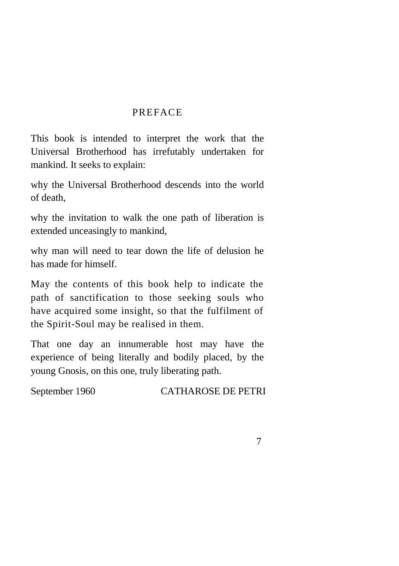## PREFACE

This book is intended to interpret the work that the Universal Brotherhood has irrefutably undertaken for mankind. It seeks to explain:

why the Universal Brotherhood descends into the world of death,

why the invitation to walk the one path of liberation is extended unceasingly to mankind,

why man will need to tear down the life of delusion he has made for himself.

May the contents of this book help to indicate the path of sanctification to those seeking souls who have acquired some insight, so that the fulfilment of the Spirit-Soul may be realised in them.

That one day an innumerable host may have the experience of being literally and bodily placed, by the young Gnosis, on this one, truly liberating path.

September 1960 CATHAROSE DE PETRI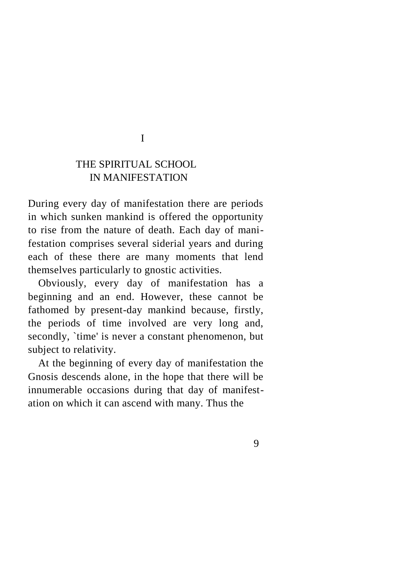I

# THE SPIRITUAL SCHOOL IN MANIFESTATION

During every day of manifestation there are periods in which sunken mankind is offered the opportunity to rise from the nature of death. Each day of manifestation comprises several siderial years and during each of these there are many moments that lend themselves particularly to gnostic activities.

Obviously, every day of manifestation has a beginning and an end. However, these cannot be fathomed by present-day mankind because, firstly, the periods of time involved are very long and, secondly, `time' is never a constant phenomenon, but subject to relativity.

At the beginning of every day of manifestation the Gnosis descends alone, in the hope that there will be innumerable occasions during that day of manifestation on which it can ascend with many. Thus the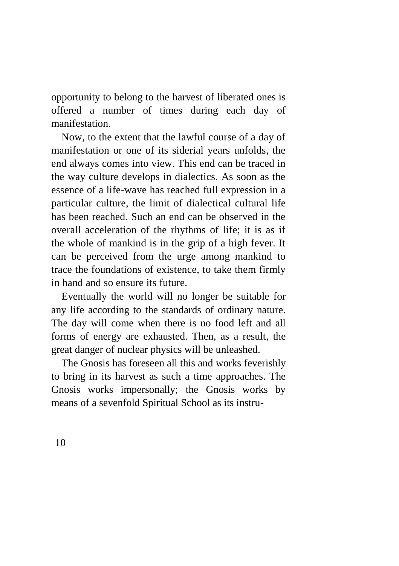opportunity to belong to the harvest of liberated ones is offered a number of times during each day of manifestation.

Now, to the extent that the lawful course of a day of manifestation or one of its siderial years unfolds, the end always comes into view. This end can be traced in the way culture develops in dialectics. As soon as the essence of a life-wave has reached full expression in a particular culture, the limit of dialectical cultural life has been reached. Such an end can be observed in the overall acceleration of the rhythms of life; it is as if the whole of mankind is in the grip of a high fever. It can be perceived from the urge among mankind to trace the foundations of existence, to take them firmly in hand and so ensure its future.

Eventually the world will no longer be suitable for any life according to the standards of ordinary nature. The day will come when there is no food left and all forms of energy are exhausted. Then, as a result, the great danger of nuclear physics will be unleashed.

The Gnosis has foreseen all this and works feverishly to bring in its harvest as such a time approaches. The Gnosis works impersonally; the Gnosis works by means of a sevenfold Spiritual School as its instru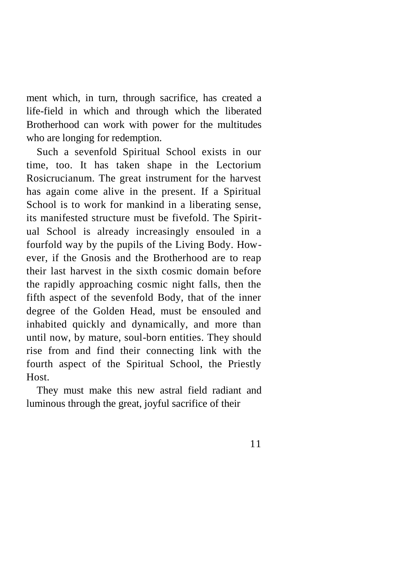ment which, in turn, through sacrifice, has created a life-field in which and through which the liberated Brotherhood can work with power for the multitudes who are longing for redemption.

Such a sevenfold Spiritual School exists in our time, too. It has taken shape in the Lectorium Rosicrucianum. The great instrument for the harvest has again come alive in the present. If a Spiritual School is to work for mankind in a liberating sense, its manifested structure must be fivefold. The Spiritual School is already increasingly ensouled in a fourfold way by the pupils of the Living Body. However, if the Gnosis and the Brotherhood are to reap their last harvest in the sixth cosmic domain before the rapidly approaching cosmic night falls, then the fifth aspect of the sevenfold Body, that of the inner degree of the Golden Head, must be ensouled and inhabited quickly and dynamically, and more than until now, by mature, soul-born entities. They should rise from and find their connecting link with the fourth aspect of the Spiritual School, the Priestly Host.

They must make this new astral field radiant and luminous through the great, joyful sacrifice of their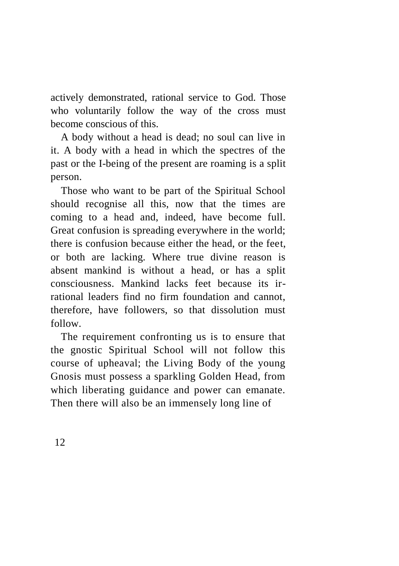actively demonstrated, rational service to God. Those who voluntarily follow the way of the cross must become conscious of this.

A body without a head is dead; no soul can live in it. A body with a head in which the spectres of the past or the I-being of the present are roaming is a split person.

Those who want to be part of the Spiritual School should recognise all this, now that the times are coming to a head and, indeed, have become full. Great confusion is spreading everywhere in the world; there is confusion because either the head, or the feet, or both are lacking. Where true divine reason is absent mankind is without a head, or has a split consciousness. Mankind lacks feet because its irrational leaders find no firm foundation and cannot, therefore, have followers, so that dissolution must follow.

The requirement confronting us is to ensure that the gnostic Spiritual School will not follow this course of upheaval; the Living Body of the young Gnosis must possess a sparkling Golden Head, from which liberating guidance and power can emanate. Then there will also be an immensely long line of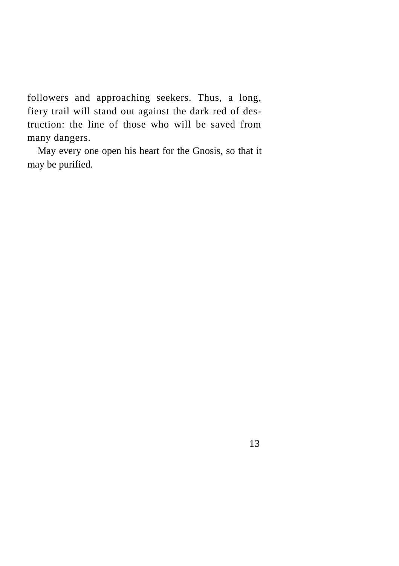followers and approaching seekers. Thus, a long, fiery trail will stand out against the dark red of destruction: the line of those who will be saved from many dangers.

May every one open his heart for the Gnosis, so that it may be purified.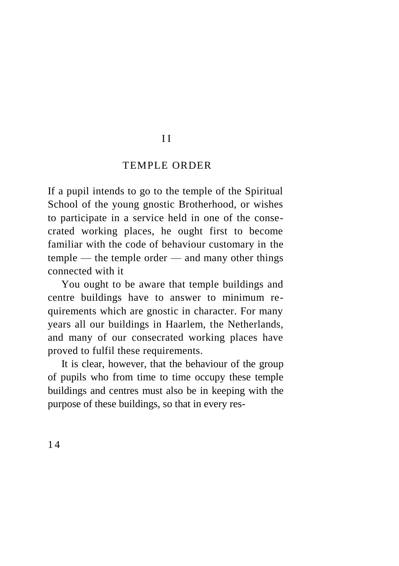## I I

### TEMPLE ORDER

If a pupil intends to go to the temple of the Spiritual School of the young gnostic Brotherhood, or wishes to participate in a service held in one of the consecrated working places, he ought first to become familiar with the code of behaviour customary in the temple — the temple order — and many other things connected with it

You ought to be aware that temple buildings and centre buildings have to answer to minimum requirements which are gnostic in character. For many years all our buildings in Haarlem, the Netherlands, and many of our consecrated working places have proved to fulfil these requirements.

It is clear, however, that the behaviour of the group of pupils who from time to time occupy these temple buildings and centres must also be in keeping with the purpose of these buildings, so that in every res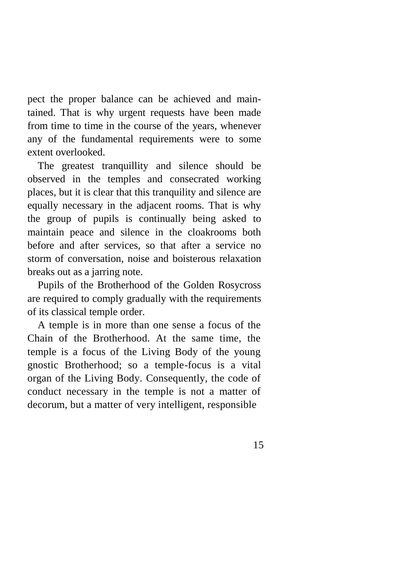pect the proper balance can be achieved and maintained. That is why urgent requests have been made from time to time in the course of the years, whenever any of the fundamental requirements were to some extent overlooked.

The greatest tranquillity and silence should be observed in the temples and consecrated working places, but it is clear that this tranquility and silence are equally necessary in the adjacent rooms. That is why the group of pupils is continually being asked to maintain peace and silence in the cloakrooms both before and after services, so that after a service no storm of conversation, noise and boisterous relaxation breaks out as a jarring note.

Pupils of the Brotherhood of the Golden Rosycross are required to comply gradually with the requirements of its classical temple order.

A temple is in more than one sense a focus of the Chain of the Brotherhood. At the same time, the temple is a focus of the Living Body of the young gnostic Brotherhood; so a temple-focus is a vital organ of the Living Body. Consequently, the code of conduct necessary in the temple is not a matter of decorum, but a matter of very intelligent, responsible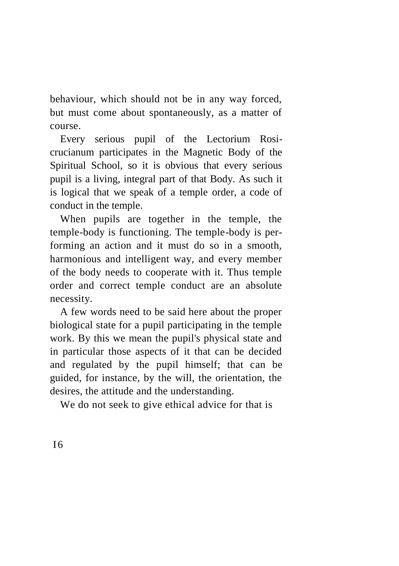behaviour, which should not be in any way forced, but must come about spontaneously, as a matter of course.

Every serious pupil of the Lectorium Rosicrucianum participates in the Magnetic Body of the Spiritual School, so it is obvious that every serious pupil is a living, integral part of that Body. As such it is logical that we speak of a temple order, a code of conduct in the temple.

When pupils are together in the temple, the temple-body is functioning. The temple-body is performing an action and it must do so in a smooth, harmonious and intelligent way, and every member of the body needs to cooperate with it. Thus temple order and correct temple conduct are an absolute necessity.

A few words need to be said here about the proper biological state for a pupil participating in the temple work. By this we mean the pupil's physical state and in particular those aspects of it that can be decided and regulated by the pupil himself; that can be guided, for instance, by the will, the orientation, the desires, the attitude and the understanding.

We do not seek to give ethical advice for that is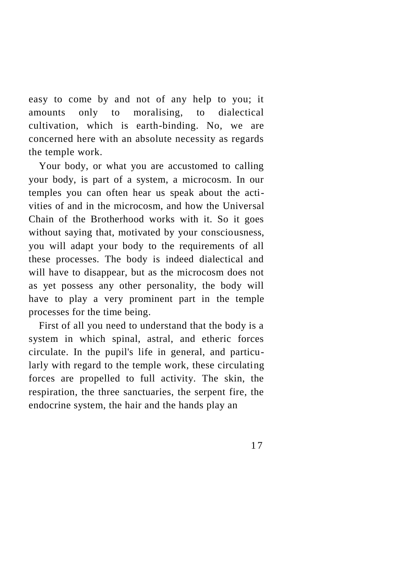easy to come by and not of any help to you; it amounts only to moralising, to dialectical cultivation, which is earth-binding. No, we are concerned here with an absolute necessity as regards the temple work.

Your body, or what you are accustomed to calling your body, is part of a system, a microcosm. In our temples you can often hear us speak about the activities of and in the microcosm, and how the Universal Chain of the Brotherhood works with it. So it goes without saying that, motivated by your consciousness, you will adapt your body to the requirements of all these processes. The body is indeed dialectical and will have to disappear, but as the microcosm does not as yet possess any other personality, the body will have to play a very prominent part in the temple processes for the time being.

First of all you need to understand that the body is a system in which spinal, astral, and etheric forces circulate. In the pupil's life in general, and particularly with regard to the temple work, these circulating forces are propelled to full activity. The skin, the respiration, the three sanctuaries, the serpent fire, the endocrine system, the hair and the hands play an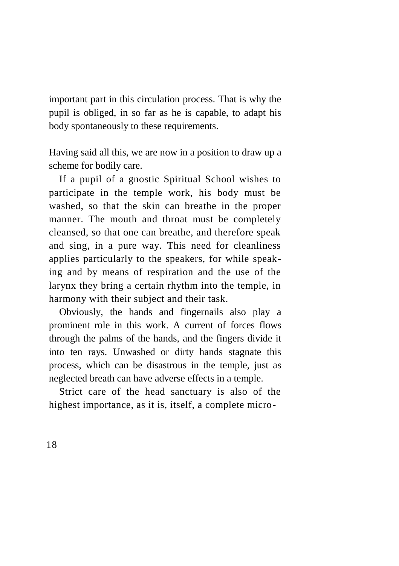important part in this circulation process. That is why the pupil is obliged, in so far as he is capable, to adapt his body spontaneously to these requirements.

Having said all this, we are now in a position to draw up a scheme for bodily care.

If a pupil of a gnostic Spiritual School wishes to participate in the temple work, his body must be washed, so that the skin can breathe in the proper manner. The mouth and throat must be completely cleansed, so that one can breathe, and therefore speak and sing, in a pure way. This need for cleanliness applies particularly to the speakers, for while speaking and by means of respiration and the use of the larynx they bring a certain rhythm into the temple, in harmony with their subject and their task.

Obviously, the hands and fingernails also play a prominent role in this work. A current of forces flows through the palms of the hands, and the fingers divide it into ten rays. Unwashed or dirty hands stagnate this process, which can be disastrous in the temple, just as neglected breath can have adverse effects in a temple.

Strict care of the head sanctuary is also of the highest importance, as it is, itself, a complete micro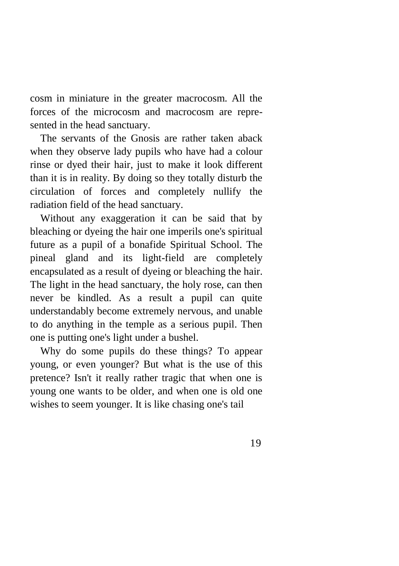cosm in miniature in the greater macrocosm. All the forces of the microcosm and macrocosm are represented in the head sanctuary.

The servants of the Gnosis are rather taken aback when they observe lady pupils who have had a colour rinse or dyed their hair, just to make it look different than it is in reality. By doing so they totally disturb the circulation of forces and completely nullify the radiation field of the head sanctuary.

Without any exaggeration it can be said that by bleaching or dyeing the hair one imperils one's spiritual future as a pupil of a bonafide Spiritual School. The pineal gland and its light-field are completely encapsulated as a result of dyeing or bleaching the hair. The light in the head sanctuary, the holy rose, can then never be kindled. As a result a pupil can quite understandably become extremely nervous, and unable to do anything in the temple as a serious pupil. Then one is putting one's light under a bushel.

Why do some pupils do these things? To appear young, or even younger? But what is the use of this pretence? Isn't it really rather tragic that when one is young one wants to be older, and when one is old one wishes to seem younger. It is like chasing one's tail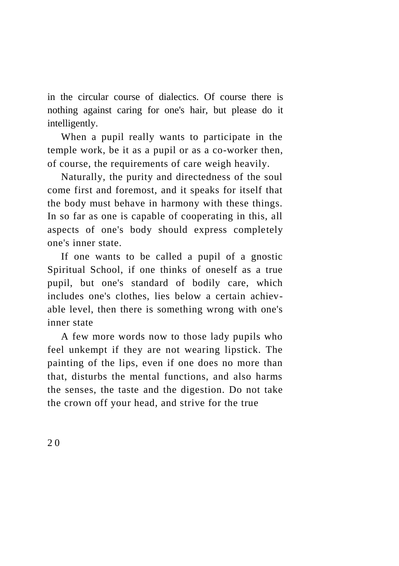in the circular course of dialectics. Of course there is nothing against caring for one's hair, but please do it intelligently.

When a pupil really wants to participate in the temple work, be it as a pupil or as a co-worker then, of course, the requirements of care weigh heavily.

Naturally, the purity and directedness of the soul come first and foremost, and it speaks for itself that the body must behave in harmony with these things. In so far as one is capable of cooperating in this, all aspects of one's body should express completely one's inner state.

If one wants to be called a pupil of a gnostic Spiritual School, if one thinks of oneself as a true pupil, but one's standard of bodily care, which includes one's clothes, lies below a certain achievable level, then there is something wrong with one's inner state

A few more words now to those lady pupils who feel unkempt if they are not wearing lipstick. The painting of the lips, even if one does no more than that, disturbs the mental functions, and also harms the senses, the taste and the digestion. Do not take the crown off your head, and strive for the true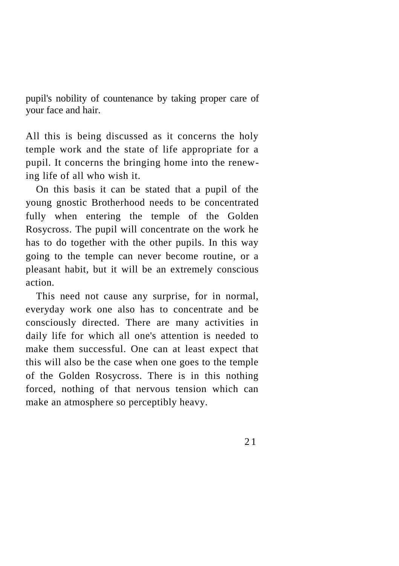pupil's nobility of countenance by taking proper care of your face and hair.

All this is being discussed as it concerns the holy temple work and the state of life appropriate for a pupil. It concerns the bringing home into the renewing life of all who wish it.

On this basis it can be stated that a pupil of the young gnostic Brotherhood needs to be concentrated fully when entering the temple of the Golden Rosycross. The pupil will concentrate on the work he has to do together with the other pupils. In this way going to the temple can never become routine, or a pleasant habit, but it will be an extremely conscious action.

This need not cause any surprise, for in normal, everyday work one also has to concentrate and be consciously directed. There are many activities in daily life for which all one's attention is needed to make them successful. One can at least expect that this will also be the case when one goes to the temple of the Golden Rosycross. There is in this nothing forced, nothing of that nervous tension which can make an atmosphere so perceptibly heavy.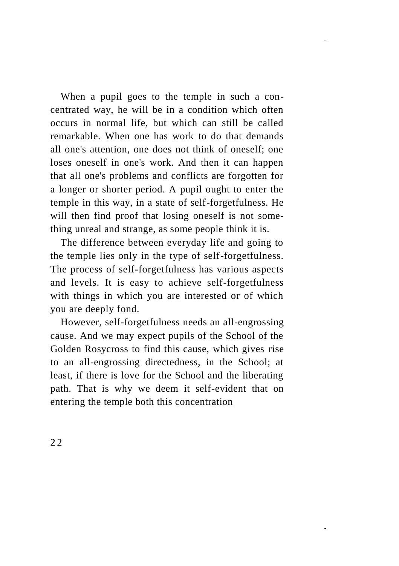When a pupil goes to the temple in such a concentrated way, he will be in a condition which often occurs in normal life, but which can still be called remarkable. When one has work to do that demands all one's attention, one does not think of oneself; one loses oneself in one's work. And then it can happen that all one's problems and conflicts are forgotten for a longer or shorter period. A pupil ought to enter the temple in this way, in a state of self-forgetfulness. He will then find proof that losing oneself is not something unreal and strange, as some people think it is.

The difference between everyday life and going to the temple lies only in the type of self-forgetfulness. The process of self-forgetfulness has various aspects and levels. It is easy to achieve self-forgetfulness with things in which you are interested or of which you are deeply fond.

However, self-forgetfulness needs an all-engrossing cause. And we may expect pupils of the School of the Golden Rosycross to find this cause, which gives rise to an all-engrossing directedness, in the School; at least, if there is love for the School and the liberating path. That is why we deem it self-evident that on entering the temple both this concentration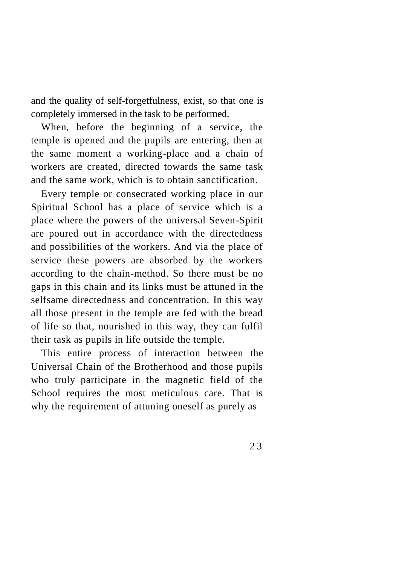and the quality of self-forgetfulness, exist, so that one is completely immersed in the task to be performed.

When, before the beginning of a service, the temple is opened and the pupils are entering, then at the same moment a working-place and a chain of workers are created, directed towards the same task and the same work, which is to obtain sanctification.

Every temple or consecrated working place in our Spiritual School has a place of service which is a place where the powers of the universal Seven-Spirit are poured out in accordance with the directedness and possibilities of the workers. And via the place of service these powers are absorbed by the workers according to the chain-method. So there must be no gaps in this chain and its links must be attuned in the selfsame directedness and concentration. In this way all those present in the temple are fed with the bread of life so that, nourished in this way, they can fulfil their task as pupils in life outside the temple.

This entire process of interaction between the Universal Chain of the Brotherhood and those pupils who truly participate in the magnetic field of the School requires the most meticulous care. That is why the requirement of attuning oneself as purely as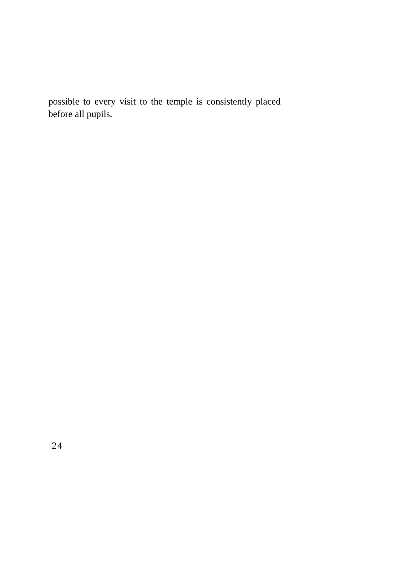possible to every visit to the temple is consistently placed before all pupils.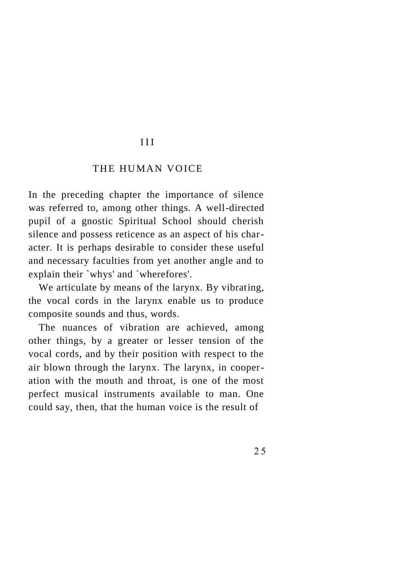#### III

#### THE HUMAN VOICE

In the preceding chapter the importance of silence was referred to, among other things. A well-directed pupil of a gnostic Spiritual School should cherish silence and possess reticence as an aspect of his character. It is perhaps desirable to consider these useful and necessary faculties from yet another angle and to explain their `whys' and `wherefores'.

We articulate by means of the larynx. By vibrating, the vocal cords in the larynx enable us to produce composite sounds and thus, words.

The nuances of vibration are achieved, among other things, by a greater or lesser tension of the vocal cords, and by their position with respect to the air blown through the larynx. The larynx, in cooperation with the mouth and throat, is one of the most perfect musical instruments available to man. One could say, then, that the human voice is the result of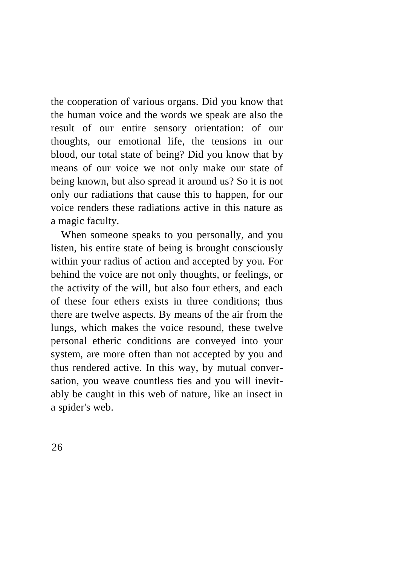the cooperation of various organs. Did you know that the human voice and the words we speak are also the result of our entire sensory orientation: of our thoughts, our emotional life, the tensions in our blood, our total state of being? Did you know that by means of our voice we not only make our state of being known, but also spread it around us? So it is not only our radiations that cause this to happen, for our voice renders these radiations active in this nature as a magic faculty.

When someone speaks to you personally, and you listen, his entire state of being is brought consciously within your radius of action and accepted by you. For behind the voice are not only thoughts, or feelings, or the activity of the will, but also four ethers, and each of these four ethers exists in three conditions; thus there are twelve aspects. By means of the air from the lungs, which makes the voice resound, these twelve personal etheric conditions are conveyed into your system, are more often than not accepted by you and thus rendered active. In this way, by mutual conversation, you weave countless ties and you will inevitably be caught in this web of nature, like an insect in a spider's web.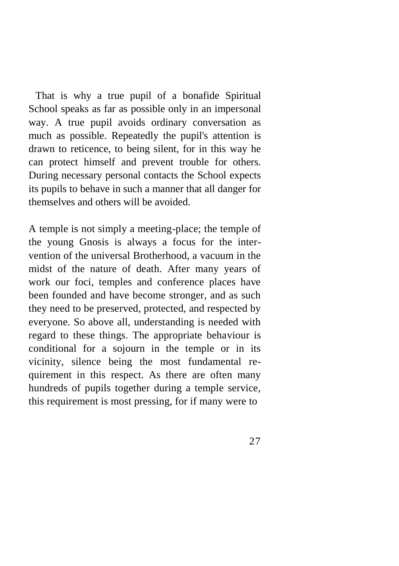That is why a true pupil of a bonafide Spiritual School speaks as far as possible only in an impersonal way. A true pupil avoids ordinary conversation as much as possible. Repeatedly the pupil's attention is drawn to reticence, to being silent, for in this way he can protect himself and prevent trouble for others. During necessary personal contacts the School expects its pupils to behave in such a manner that all danger for themselves and others will be avoided.

A temple is not simply a meeting-place; the temple of the young Gnosis is always a focus for the intervention of the universal Brotherhood, a vacuum in the midst of the nature of death. After many years of work our foci, temples and conference places have been founded and have become stronger, and as such they need to be preserved, protected, and respected by everyone. So above all, understanding is needed with regard to these things. The appropriate behaviour is conditional for a sojourn in the temple or in its vicinity, silence being the most fundamental requirement in this respect. As there are often many hundreds of pupils together during a temple service, this requirement is most pressing, for if many were to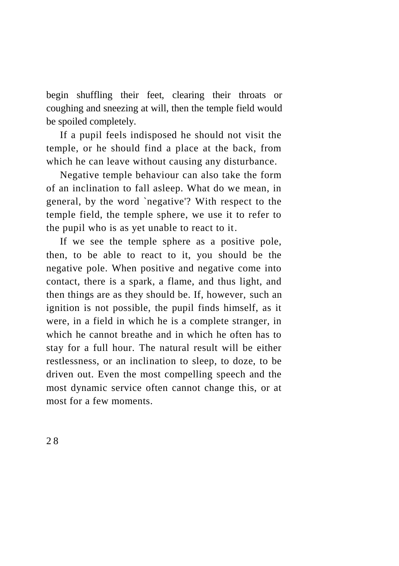begin shuffling their feet, clearing their throats or coughing and sneezing at will, then the temple field would be spoiled completely.

If a pupil feels indisposed he should not visit the temple, or he should find a place at the back, from which he can leave without causing any disturbance.

Negative temple behaviour can also take the form of an inclination to fall asleep. What do we mean, in general, by the word `negative'? With respect to the temple field, the temple sphere, we use it to refer to the pupil who is as yet unable to react to it.

If we see the temple sphere as a positive pole, then, to be able to react to it, you should be the negative pole. When positive and negative come into contact, there is a spark, a flame, and thus light, and then things are as they should be. If, however, such an ignition is not possible, the pupil finds himself, as it were, in a field in which he is a complete stranger, in which he cannot breathe and in which he often has to stay for a full hour. The natural result will be either restlessness, or an inclination to sleep, to doze, to be driven out. Even the most compelling speech and the most dynamic service often cannot change this, or at most for a few moments.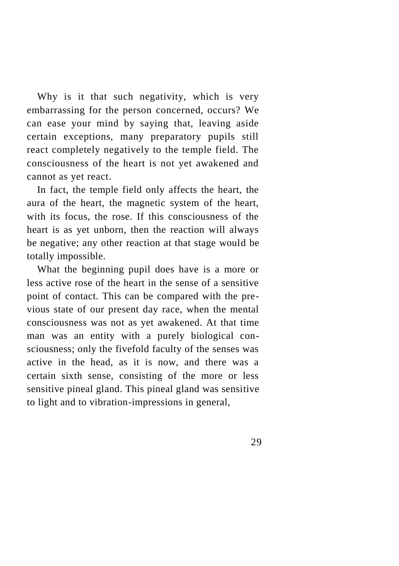Why is it that such negativity, which is very embarrassing for the person concerned, occurs? We can ease your mind by saying that, leaving aside certain exceptions, many preparatory pupils still react completely negatively to the temple field. The consciousness of the heart is not yet awakened and cannot as yet react.

In fact, the temple field only affects the heart, the aura of the heart, the magnetic system of the heart, with its focus, the rose. If this consciousness of the heart is as yet unborn, then the reaction will always be negative; any other reaction at that stage would be totally impossible.

What the beginning pupil does have is a more or less active rose of the heart in the sense of a sensitive point of contact. This can be compared with the previous state of our present day race, when the mental consciousness was not as yet awakened. At that time man was an entity with a purely biological consciousness; only the fivefold faculty of the senses was active in the head, as it is now, and there was a certain sixth sense, consisting of the more or less sensitive pineal gland. This pineal gland was sensitive to light and to vibration-impressions in general,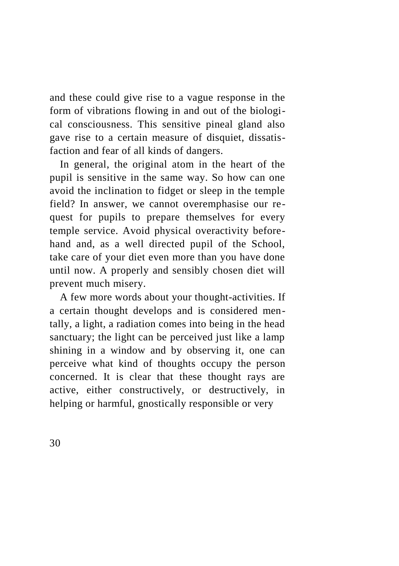and these could give rise to a vague response in the form of vibrations flowing in and out of the biological consciousness. This sensitive pineal gland also gave rise to a certain measure of disquiet, dissatisfaction and fear of all kinds of dangers.

In general, the original atom in the heart of the pupil is sensitive in the same way. So how can one avoid the inclination to fidget or sleep in the temple field? In answer, we cannot overemphasise our request for pupils to prepare themselves for every temple service. Avoid physical overactivity beforehand and, as a well directed pupil of the School, take care of your diet even more than you have done until now. A properly and sensibly chosen diet will prevent much misery.

A few more words about your thought-activities. If a certain thought develops and is considered mentally, a light, a radiation comes into being in the head sanctuary; the light can be perceived just like a lamp shining in a window and by observing it, one can perceive what kind of thoughts occupy the person concerned. It is clear that these thought rays are active, either constructively, or destructively, in helping or harmful, gnostically responsible or very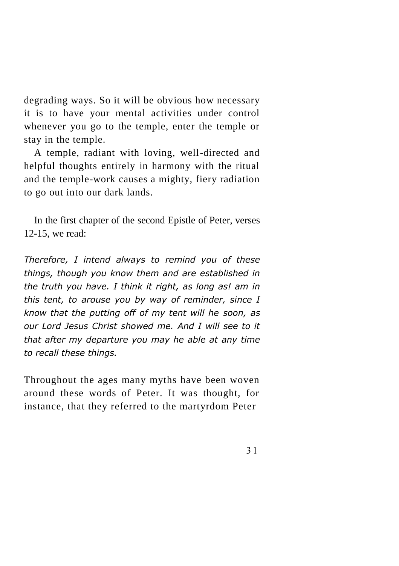degrading ways. So it will be obvious how necessary it is to have your mental activities under control whenever you go to the temple, enter the temple or stay in the temple.

A temple, radiant with loving, well-directed and helpful thoughts entirely in harmony with the ritual and the temple-work causes a mighty, fiery radiation to go out into our dark lands.

In the first chapter of the second Epistle of Peter, verses 12-15, we read:

*Therefore, I intend always to remind you of these things, though you know them and are established in the truth you have. I think it right, as long as! am in this tent, to arouse you by way of reminder, since I know that the putting off of my tent will he soon, as our Lord Jesus Christ showed me. And I will see to it that after my departure you may he able at any time to recall these things.*

Throughout the ages many myths have been woven around these words of Peter. It was thought, for instance, that they referred to the martyrdom Peter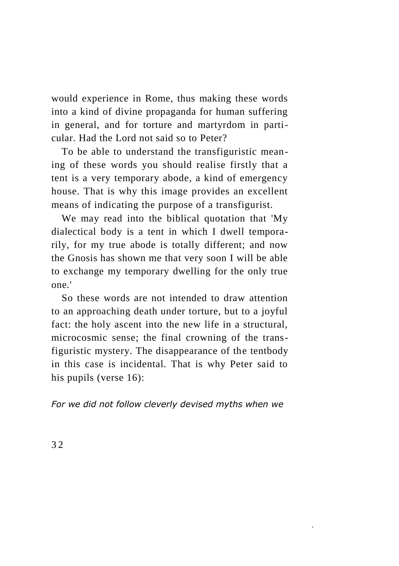would experience in Rome, thus making these words into a kind of divine propaganda for human suffering in general, and for torture and martyrdom in particular. Had the Lord not said so to Peter?

To be able to understand the transfiguristic meaning of these words you should realise firstly that a tent is a very temporary abode, a kind of emergency house. That is why this image provides an excellent means of indicating the purpose of a transfigurist.

We may read into the biblical quotation that 'My dialectical body is a tent in which I dwell temporarily, for my true abode is totally different; and now the Gnosis has shown me that very soon I will be able to exchange my temporary dwelling for the only true one.'

So these words are not intended to draw attention to an approaching death under torture, but to a joyful fact: the holy ascent into the new life in a structural, microcosmic sense; the final crowning of the transfiguristic mystery. The disappearance of the tentbody in this case is incidental. That is why Peter said to his pupils (verse 16):

*For we did not follow cleverly devised myths when we*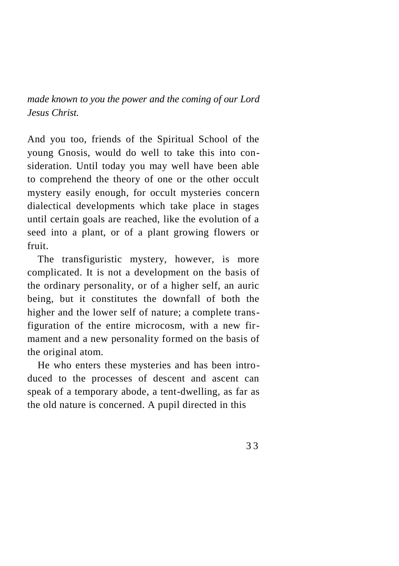*made known to you the power and the coming of our Lord Jesus Christ.*

And you too, friends of the Spiritual School of the young Gnosis, would do well to take this into consideration. Until today you may well have been able to comprehend the theory of one or the other occult mystery easily enough, for occult mysteries concern dialectical developments which take place in stages until certain goals are reached, like the evolution of a seed into a plant, or of a plant growing flowers or fruit.

The transfiguristic mystery, however, is more complicated. It is not a development on the basis of the ordinary personality, or of a higher self, an auric being, but it constitutes the downfall of both the higher and the lower self of nature; a complete transfiguration of the entire microcosm, with a new firmament and a new personality formed on the basis of the original atom.

He who enters these mysteries and has been introduced to the processes of descent and ascent can speak of a temporary abode, a tent-dwelling, as far as the old nature is concerned. A pupil directed in this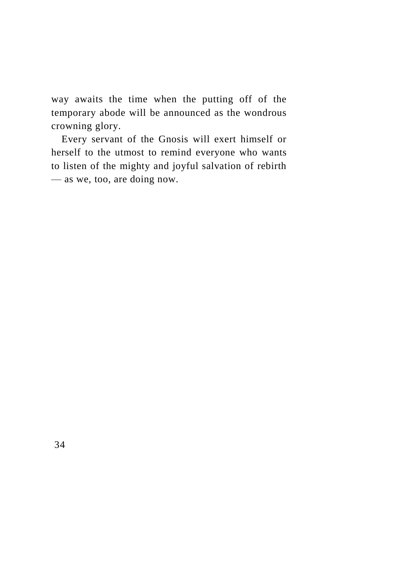way awaits the time when the putting off of the temporary abode will be announced as the wondrous crowning glory.

Every servant of the Gnosis will exert himself or herself to the utmost to remind everyone who wants to listen of the mighty and joyful salvation of rebirth — as we, too, are doing now.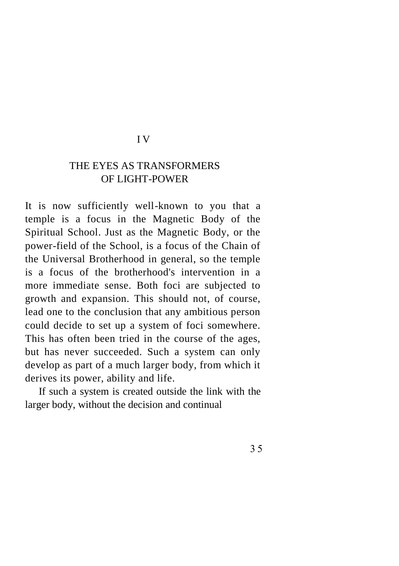#### I V

## THE EYES AS TRANSFORMERS OF LIGHT-POWER

It is now sufficiently well-known to you that a temple is a focus in the Magnetic Body of the Spiritual School. Just as the Magnetic Body, or the power-field of the School, is a focus of the Chain of the Universal Brotherhood in general, so the temple is a focus of the brotherhood's intervention in a more immediate sense. Both foci are subjected to growth and expansion. This should not, of course, lead one to the conclusion that any ambitious person could decide to set up a system of foci somewhere. This has often been tried in the course of the ages, but has never succeeded. Such a system can only develop as part of a much larger body, from which it derives its power, ability and life.

If such a system is created outside the link with the larger body, without the decision and continual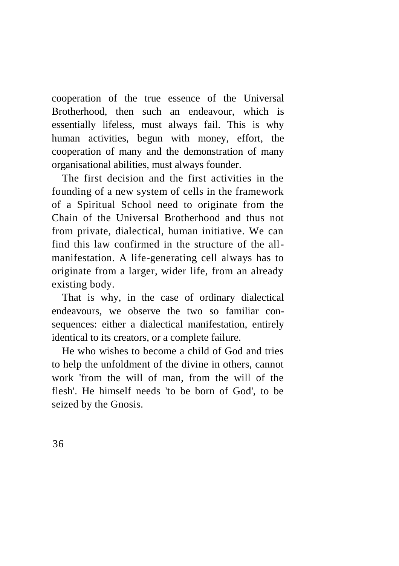cooperation of the true essence of the Universal Brotherhood, then such an endeavour, which is essentially lifeless, must always fail. This is why human activities, begun with money, effort, the cooperation of many and the demonstration of many organisational abilities, must always founder.

The first decision and the first activities in the founding of a new system of cells in the framework of a Spiritual School need to originate from the Chain of the Universal Brotherhood and thus not from private, dialectical, human initiative. We can find this law confirmed in the structure of the allmanifestation. A life-generating cell always has to originate from a larger, wider life, from an already existing body.

That is why, in the case of ordinary dialectical endeavours, we observe the two so familiar consequences: either a dialectical manifestation, entirely identical to its creators, or a complete failure.

He who wishes to become a child of God and tries to help the unfoldment of the divine in others, cannot work 'from the will of man, from the will of the flesh'. He himself needs 'to be born of God', to be seized by the Gnosis.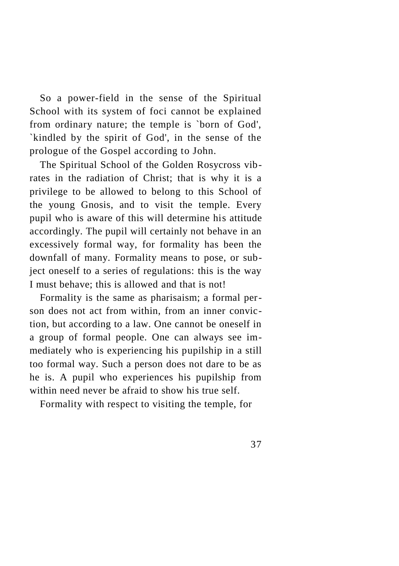So a power-field in the sense of the Spiritual School with its system of foci cannot be explained from ordinary nature; the temple is `born of God', `kindled by the spirit of God', in the sense of the prologue of the Gospel according to John.

The Spiritual School of the Golden Rosycross vibrates in the radiation of Christ; that is why it is a privilege to be allowed to belong to this School of the young Gnosis, and to visit the temple. Every pupil who is aware of this will determine his attitude accordingly. The pupil will certainly not behave in an excessively formal way, for formality has been the downfall of many. Formality means to pose, or subject oneself to a series of regulations: this is the way I must behave; this is allowed and that is not!

Formality is the same as pharisaism; a formal person does not act from within, from an inner conviction, but according to a law. One cannot be oneself in a group of formal people. One can always see immediately who is experiencing his pupilship in a still too formal way. Such a person does not dare to be as he is. A pupil who experiences his pupilship from within need never he afraid to show his true self.

Formality with respect to visiting the temple, for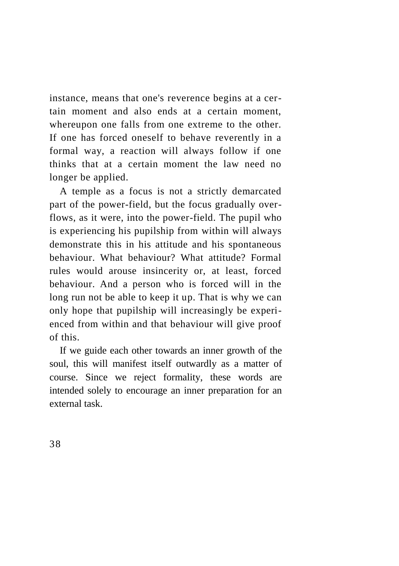instance, means that one's reverence begins at a certain moment and also ends at a certain moment, whereupon one falls from one extreme to the other. If one has forced oneself to behave reverently in a formal way, a reaction will always follow if one thinks that at a certain moment the law need no longer be applied.

A temple as a focus is not a strictly demarcated part of the power-field, but the focus gradually overflows, as it were, into the power-field. The pupil who is experiencing his pupilship from within will always demonstrate this in his attitude and his spontaneous behaviour. What behaviour? What attitude? Formal rules would arouse insincerity or, at least, forced behaviour. And a person who is forced will in the long run not be able to keep it up. That is why we can only hope that pupilship will increasingly be experienced from within and that behaviour will give proof of this.

If we guide each other towards an inner growth of the soul, this will manifest itself outwardly as a matter of course. Since we reject formality, these words are intended solely to encourage an inner preparation for an external task.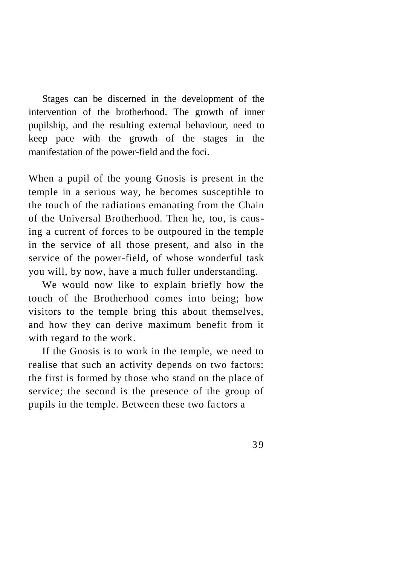Stages can be discerned in the development of the intervention of the brotherhood. The growth of inner pupilship, and the resulting external behaviour, need to keep pace with the growth of the stages in the manifestation of the power-field and the foci.

When a pupil of the young Gnosis is present in the temple in a serious way, he becomes susceptible to the touch of the radiations emanating from the Chain of the Universal Brotherhood. Then he, too, is causing a current of forces to be outpoured in the temple in the service of all those present, and also in the service of the power-field, of whose wonderful task you will, by now, have a much fuller understanding.

We would now like to explain briefly how the touch of the Brotherhood comes into being; how visitors to the temple bring this about themselves, and how they can derive maximum benefit from it with regard to the work.

If the Gnosis is to work in the temple, we need to realise that such an activity depends on two factors: the first is formed by those who stand on the place of service; the second is the presence of the group of pupils in the temple. Between these two factors a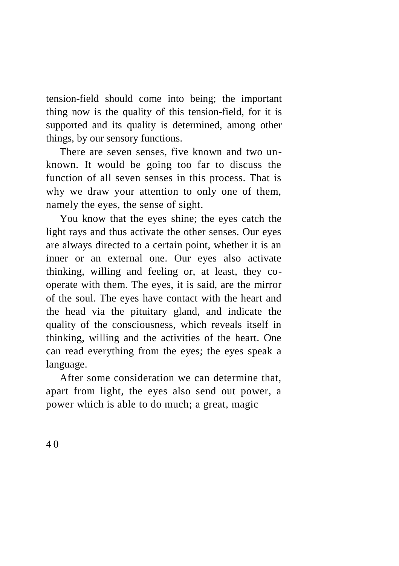tension-field should come into being; the important thing now is the quality of this tension-field, for it is supported and its quality is determined, among other things, by our sensory functions.

There are seven senses, five known and two unknown. It would be going too far to discuss the function of all seven senses in this process. That is why we draw your attention to only one of them, namely the eyes, the sense of sight.

You know that the eyes shine; the eyes catch the light rays and thus activate the other senses. Our eyes are always directed to a certain point, whether it is an inner or an external one. Our eyes also activate thinking, willing and feeling or, at least, they cooperate with them. The eyes, it is said, are the mirror of the soul. The eyes have contact with the heart and the head via the pituitary gland, and indicate the quality of the consciousness, which reveals itself in thinking, willing and the activities of the heart. One can read everything from the eyes; the eyes speak a language.

After some consideration we can determine that, apart from light, the eyes also send out power, a power which is able to do much; a great, magic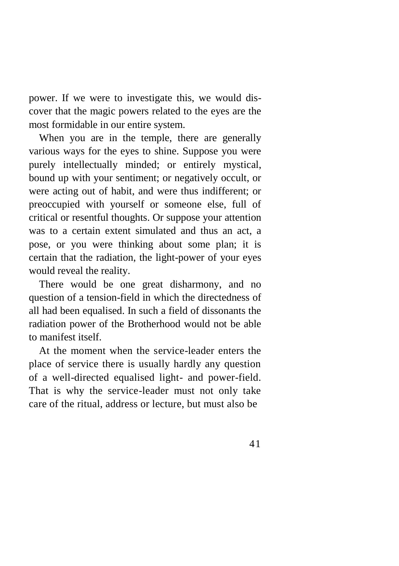power. If we were to investigate this, we would discover that the magic powers related to the eyes are the most formidable in our entire system.

When you are in the temple, there are generally various ways for the eyes to shine. Suppose you were purely intellectually minded; or entirely mystical, bound up with your sentiment; or negatively occult, or were acting out of habit, and were thus indifferent; or preoccupied with yourself or someone else, full of critical or resentful thoughts. Or suppose your attention was to a certain extent simulated and thus an act, a pose, or you were thinking about some plan; it is certain that the radiation, the light-power of your eyes would reveal the reality.

There would be one great disharmony, and no question of a tension-field in which the directedness of all had been equalised. In such a field of dissonants the radiation power of the Brotherhood would not be able to manifest itself.

At the moment when the service-leader enters the place of service there is usually hardly any question of a well-directed equalised light- and power-field. That is why the service-leader must not only take care of the ritual, address or lecture, but must also be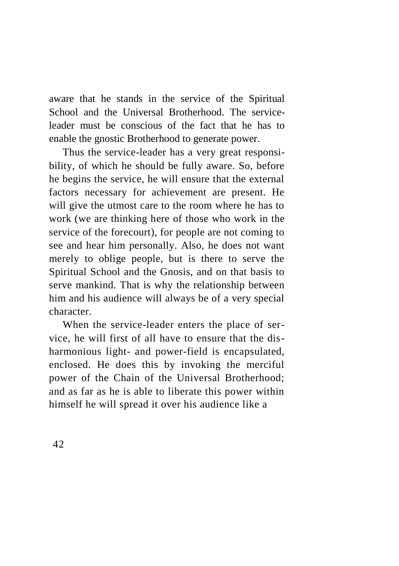aware that he stands in the service of the Spiritual School and the Universal Brotherhood. The serviceleader must be conscious of the fact that he has to enable the gnostic Brotherhood to generate power.

Thus the service-leader has a very great responsibility, of which he should be fully aware. So, before he begins the service, he will ensure that the external factors necessary for achievement are present. He will give the utmost care to the room where he has to work (we are thinking here of those who work in the service of the forecourt), for people are not coming to see and hear him personally. Also, he does not want merely to oblige people, but is there to serve the Spiritual School and the Gnosis, and on that basis to serve mankind. That is why the relationship between him and his audience will always be of a very special character.

When the service-leader enters the place of service, he will first of all have to ensure that the disharmonious light- and power-field is encapsulated, enclosed. He does this by invoking the merciful power of the Chain of the Universal Brotherhood; and as far as he is able to liberate this power within himself he will spread it over his audience like a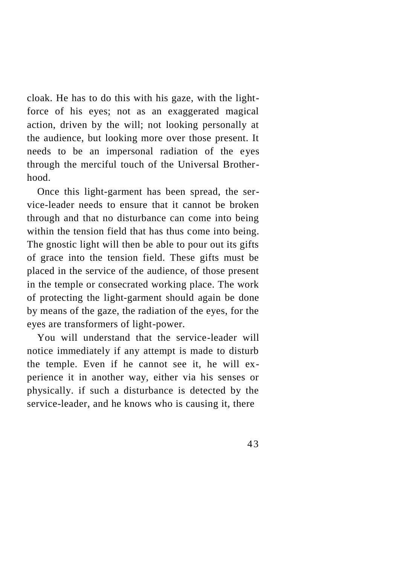cloak. He has to do this with his gaze, with the lightforce of his eyes; not as an exaggerated magical action, driven by the will; not looking personally at the audience, but looking more over those present. It needs to be an impersonal radiation of the eyes through the merciful touch of the Universal Brotherhood.

Once this light-garment has been spread, the service-leader needs to ensure that it cannot be broken through and that no disturbance can come into being within the tension field that has thus come into being. The gnostic light will then be able to pour out its gifts of grace into the tension field. These gifts must be placed in the service of the audience, of those present in the temple or consecrated working place. The work of protecting the light-garment should again be done by means of the gaze, the radiation of the eyes, for the eyes are transformers of light-power.

You will understand that the service-leader will notice immediately if any attempt is made to disturb the temple. Even if he cannot see it, he will experience it in another way, either via his senses or physically. if such a disturbance is detected by the service-leader, and he knows who is causing it, there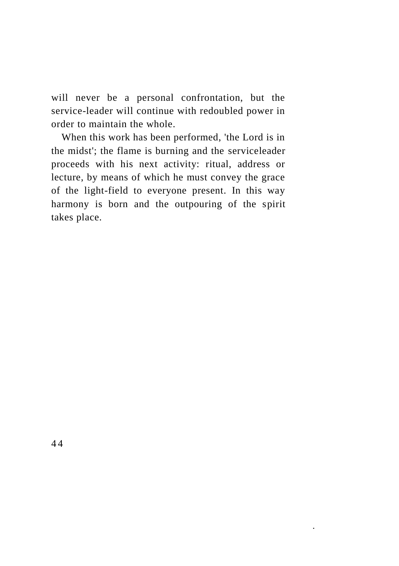will never be a personal confrontation, but the service-leader will continue with redoubled power in order to maintain the whole.

When this work has been performed, 'the Lord is in the midst'; the flame is burning and the serviceleader proceeds with his next activity: ritual, address or lecture, by means of which he must convey the grace of the light-field to everyone present. In this way harmony is born and the outpouring of the spirit takes place.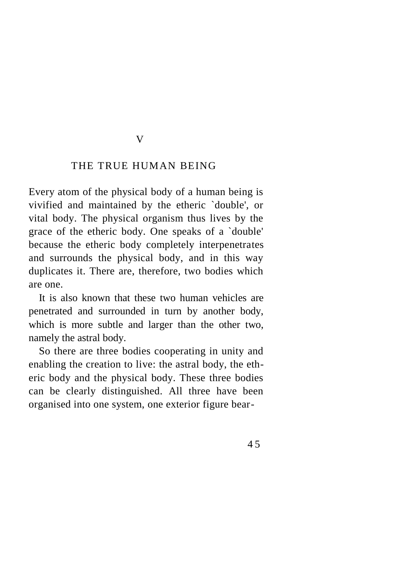#### V

#### THE TRUE HUMAN BEING

Every atom of the physical body of a human being is vivified and maintained by the etheric `double', or vital body. The physical organism thus lives by the grace of the etheric body. One speaks of a `double' because the etheric body completely interpenetrates and surrounds the physical body, and in this way duplicates it. There are, therefore, two bodies which are one.

It is also known that these two human vehicles are penetrated and surrounded in turn by another body, which is more subtle and larger than the other two, namely the astral body.

So there are three bodies cooperating in unity and enabling the creation to live: the astral body, the etheric body and the physical body. These three bodies can be clearly distinguished. All three have been organised into one system, one exterior figure bear-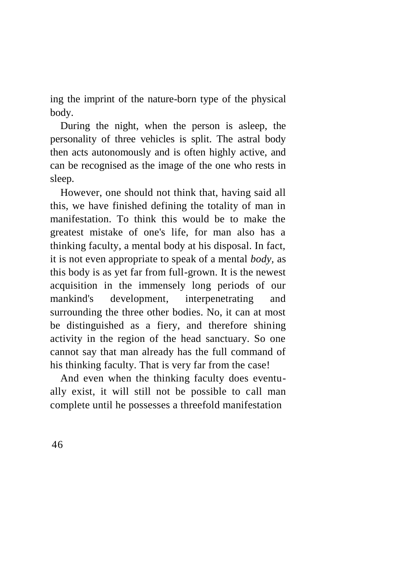ing the imprint of the nature-born type of the physical body.

During the night, when the person is asleep, the personality of three vehicles is split. The astral body then acts autonomously and is often highly active, and can be recognised as the image of the one who rests in sleep.

However, one should not think that, having said all this, we have finished defining the totality of man in manifestation. To think this would be to make the greatest mistake of one's life, for man also has a thinking faculty, a mental body at his disposal. In fact, it is not even appropriate to speak of a mental *body,* as this body is as yet far from full-grown. It is the newest acquisition in the immensely long periods of our mankind's development, interpenetrating and surrounding the three other bodies. No, it can at most be distinguished as a fiery, and therefore shining activity in the region of the head sanctuary. So one cannot say that man already has the full command of his thinking faculty. That is very far from the case!

And even when the thinking faculty does eventually exist, it will still not be possible to call man complete until he possesses a threefold manifestation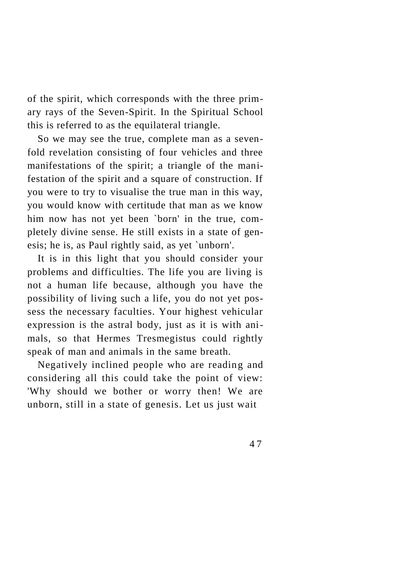of the spirit, which corresponds with the three primary rays of the Seven-Spirit. In the Spiritual School this is referred to as the equilateral triangle.

So we may see the true, complete man as a sevenfold revelation consisting of four vehicles and three manifestations of the spirit; a triangle of the manifestation of the spirit and a square of construction. If you were to try to visualise the true man in this way, you would know with certitude that man as we know him now has not yet been `born' in the true, completely divine sense. He still exists in a state of genesis; he is, as Paul rightly said, as yet `unborn'.

It is in this light that you should consider your problems and difficulties. The life you are living is not a human life because, although you have the possibility of living such a life, you do not yet possess the necessary faculties. Your highest vehicular expression is the astral body, just as it is with animals, so that Hermes Tresmegistus could rightly speak of man and animals in the same breath.

Negatively inclined people who are reading and considering all this could take the point of view: 'Why should we bother or worry then! We are unborn, still in a state of genesis. Let us just wait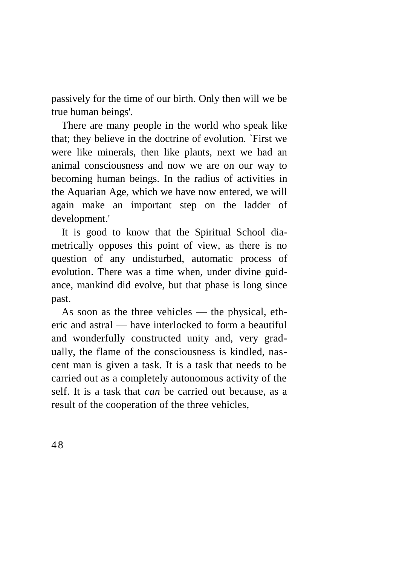passively for the time of our birth. Only then will we be true human beings'.

There are many people in the world who speak like that; they believe in the doctrine of evolution. `First we were like minerals, then like plants, next we had an animal consciousness and now we are on our way to becoming human beings. In the radius of activities in the Aquarian Age, which we have now entered, we will again make an important step on the ladder of development.'

It is good to know that the Spiritual School diametrically opposes this point of view, as there is no question of any undisturbed, automatic process of evolution. There was a time when, under divine guidance, mankind did evolve, but that phase is long since past.

As soon as the three vehicles — the physical, etheric and astral — have interlocked to form a beautiful and wonderfully constructed unity and, very gradually, the flame of the consciousness is kindled, nascent man is given a task. It is a task that needs to be carried out as a completely autonomous activity of the self. It is a task that *can* be carried out because, as a result of the cooperation of the three vehicles,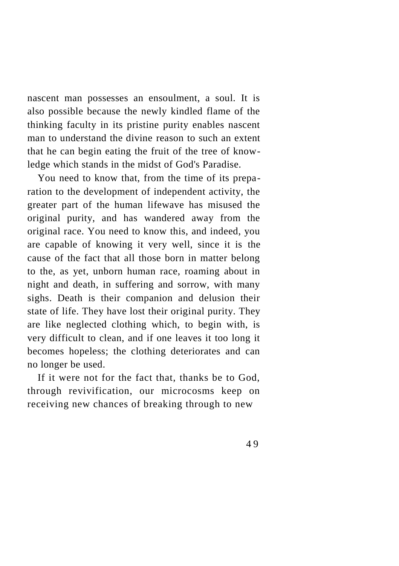nascent man possesses an ensoulment, a soul. It is also possible because the newly kindled flame of the thinking faculty in its pristine purity enables nascent man to understand the divine reason to such an extent that he can begin eating the fruit of the tree of knowledge which stands in the midst of God's Paradise.

You need to know that, from the time of its preparation to the development of independent activity, the greater part of the human lifewave has misused the original purity, and has wandered away from the original race. You need to know this, and indeed, you are capable of knowing it very well, since it is the cause of the fact that all those born in matter belong to the, as yet, unborn human race, roaming about in night and death, in suffering and sorrow, with many sighs. Death is their companion and delusion their state of life. They have lost their original purity. They are like neglected clothing which, to begin with, is very difficult to clean, and if one leaves it too long it becomes hopeless; the clothing deteriorates and can no longer be used.

If it were not for the fact that, thanks be to God, through revivification, our microcosms keep on receiving new chances of breaking through to new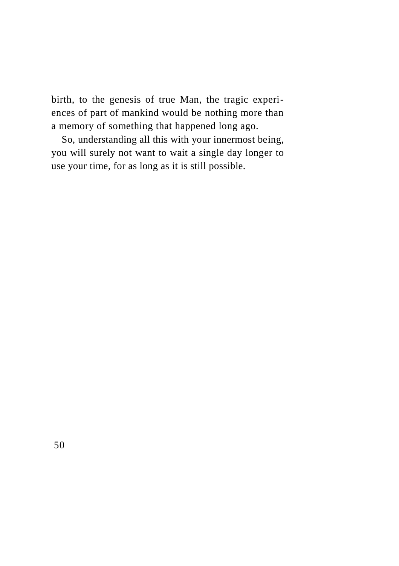birth, to the genesis of true Man, the tragic experiences of part of mankind would be nothing more than a memory of something that happened long ago.

So, understanding all this with your innermost being, you will surely not want to wait a single day longer to use your time, for as long as it is still possible.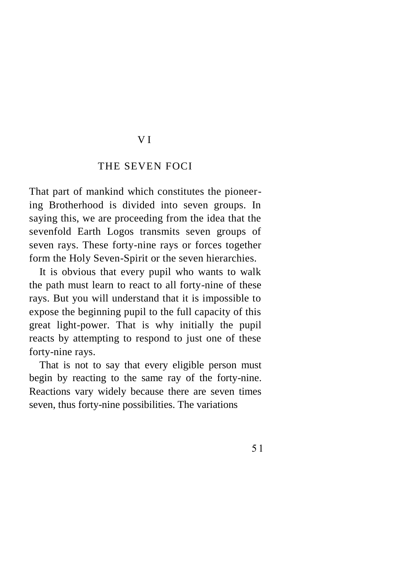### V I

#### THE SEVEN FOCI

That part of mankind which constitutes the pioneering Brotherhood is divided into seven groups. In saying this, we are proceeding from the idea that the sevenfold Earth Logos transmits seven groups of seven rays. These forty-nine rays or forces together form the Holy Seven-Spirit or the seven hierarchies.

It is obvious that every pupil who wants to walk the path must learn to react to all forty-nine of these rays. But you will understand that it is impossible to expose the beginning pupil to the full capacity of this great light-power. That is why initially the pupil reacts by attempting to respond to just one of these forty-nine rays.

That is not to say that every eligible person must begin by reacting to the same ray of the forty-nine. Reactions vary widely because there are seven times seven, thus forty-nine possibilities. The variations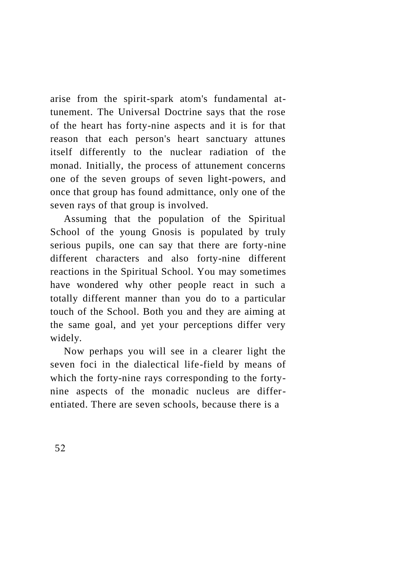arise from the spirit-spark atom's fundamental attunement. The Universal Doctrine says that the rose of the heart has forty-nine aspects and it is for that reason that each person's heart sanctuary attunes itself differently to the nuclear radiation of the monad. Initially, the process of attunement concerns one of the seven groups of seven light-powers, and once that group has found admittance, only one of the seven rays of that group is involved.

Assuming that the population of the Spiritual School of the young Gnosis is populated by truly serious pupils, one can say that there are forty-nine different characters and also forty-nine different reactions in the Spiritual School. You may sometimes have wondered why other people react in such a totally different manner than you do to a particular touch of the School. Both you and they are aiming at the same goal, and yet your perceptions differ very widely.

Now perhaps you will see in a clearer light the seven foci in the dialectical life-field by means of which the forty-nine rays corresponding to the fortynine aspects of the monadic nucleus are differentiated. There are seven schools, because there is a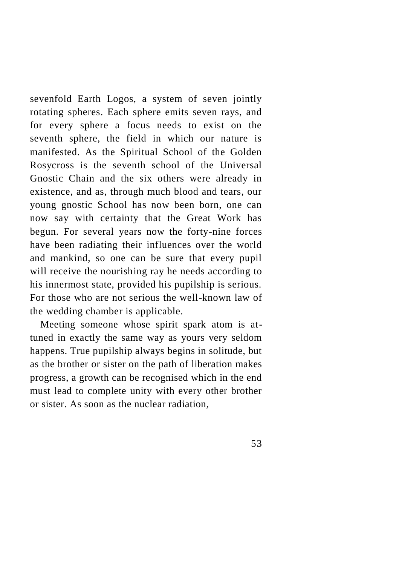sevenfold Earth Logos, a system of seven jointly rotating spheres. Each sphere emits seven rays, and for every sphere a focus needs to exist on the seventh sphere, the field in which our nature is manifested. As the Spiritual School of the Golden Rosycross is the seventh school of the Universal Gnostic Chain and the six others were already in existence, and as, through much blood and tears, our young gnostic School has now been born, one can now say with certainty that the Great Work has begun. For several years now the forty-nine forces have been radiating their influences over the world and mankind, so one can be sure that every pupil will receive the nourishing ray he needs according to his innermost state, provided his pupilship is serious. For those who are not serious the well-known law of the wedding chamber is applicable.

Meeting someone whose spirit spark atom is attuned in exactly the same way as yours very seldom happens. True pupilship always begins in solitude, but as the brother or sister on the path of liberation makes progress, a growth can be recognised which in the end must lead to complete unity with every other brother or sister. As soon as the nuclear radiation,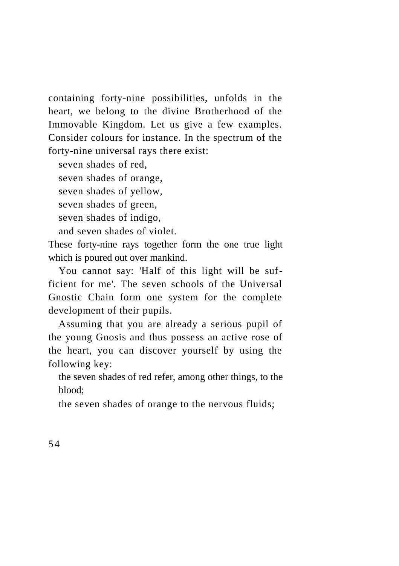containing forty-nine possibilities, unfolds in the heart, we belong to the divine Brotherhood of the Immovable Kingdom. Let us give a few examples. Consider colours for instance. In the spectrum of the forty-nine universal rays there exist:

seven shades of red,

seven shades of orange,

seven shades of yellow,

seven shades of green,

seven shades of indigo,

and seven shades of violet.

These forty-nine rays together form the one true light which is poured out over mankind.

You cannot say: 'Half of this light will be sufficient for me'. The seven schools of the Universal Gnostic Chain form one system for the complete development of their pupils.

Assuming that you are already a serious pupil of the young Gnosis and thus possess an active rose of the heart, you can discover yourself by using the following key:

the seven shades of red refer, among other things, to the blood;

the seven shades of orange to the nervous fluids;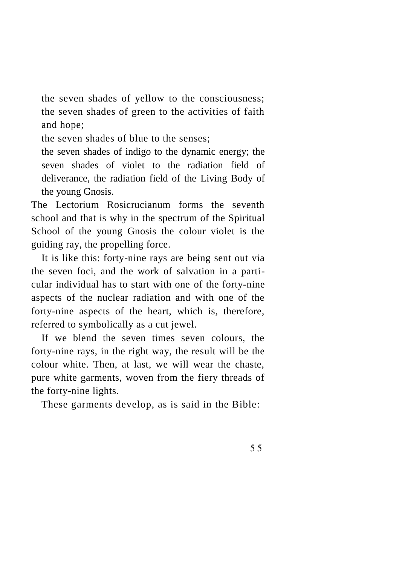the seven shades of yellow to the consciousness; the seven shades of green to the activities of faith and hope;

the seven shades of blue to the senses;

the seven shades of indigo to the dynamic energy; the seven shades of violet to the radiation field of deliverance, the radiation field of the Living Body of the young Gnosis.

The Lectorium Rosicrucianum forms the seventh school and that is why in the spectrum of the Spiritual School of the young Gnosis the colour violet is the guiding ray, the propelling force.

It is like this: forty-nine rays are being sent out via the seven foci, and the work of salvation in a particular individual has to start with one of the forty-nine aspects of the nuclear radiation and with one of the forty-nine aspects of the heart, which is, therefore, referred to symbolically as a cut jewel.

If we blend the seven times seven colours, the forty-nine rays, in the right way, the result will be the colour white. Then, at last, we will wear the chaste, pure white garments, woven from the fiery threads of the forty-nine lights.

These garments develop, as is said in the Bible: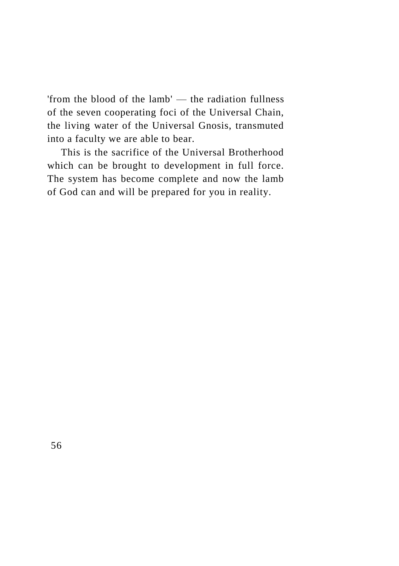'from the blood of the lamb' — the radiation fullness of the seven cooperating foci of the Universal Chain, the living water of the Universal Gnosis, transmuted into a faculty we are able to bear.

This is the sacrifice of the Universal Brotherhood which can be brought to development in full force. The system has become complete and now the lamb of God can and will be prepared for you in reality.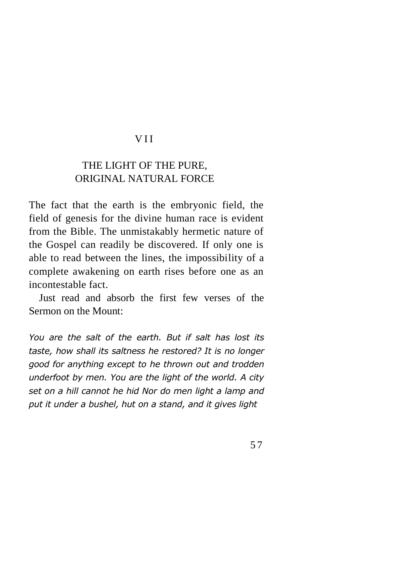### V I I

# THE LIGHT OF THE PURE, ORIGINAL NATURAL FORCE

The fact that the earth is the embryonic field, the field of genesis for the divine human race is evident from the Bible. The unmistakably hermetic nature of the Gospel can readily be discovered. If only one is able to read between the lines, the impossibility of a complete awakening on earth rises before one as an incontestable fact.

Just read and absorb the first few verses of the Sermon on the Mount:

*You are the salt of the earth. But if salt has lost its taste, how shall its saltness he restored? It is no longer good for anything except to he thrown out and trodden underfoot by men. You are the light of the world. A city set on a hill cannot he hid Nor do men light a lamp and put it under a bushel, hut on a stand, and it gives light*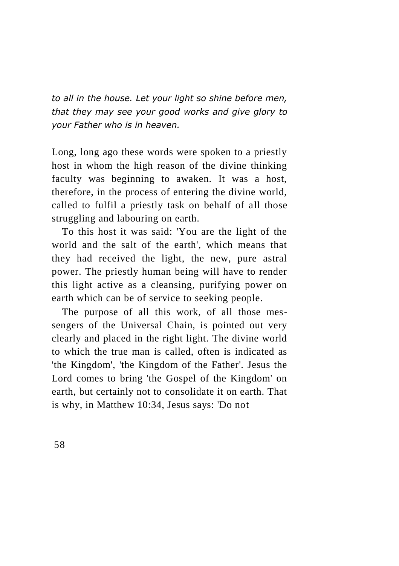*to all in the house. Let your light so shine before men, that they may see your good works and give glory to your Father who is in heaven.*

Long, long ago these words were spoken to a priestly host in whom the high reason of the divine thinking faculty was beginning to awaken. It was a host, therefore, in the process of entering the divine world, called to fulfil a priestly task on behalf of all those struggling and labouring on earth.

To this host it was said: 'You are the light of the world and the salt of the earth', which means that they had received the light, the new, pure astral power. The priestly human being will have to render this light active as a cleansing, purifying power on earth which can be of service to seeking people.

The purpose of all this work, of all those messengers of the Universal Chain, is pointed out very clearly and placed in the right light. The divine world to which the true man is called, often is indicated as 'the Kingdom', 'the Kingdom of the Father'. Jesus the Lord comes to bring 'the Gospel of the Kingdom' on earth, but certainly not to consolidate it on earth. That is why, in Matthew 10:34, Jesus says: 'Do not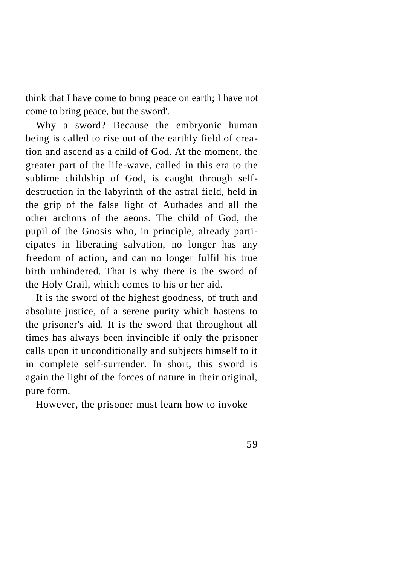think that I have come to bring peace on earth; I have not come to bring peace, but the sword'.

Why a sword? Because the embryonic human being is called to rise out of the earthly field of creation and ascend as a child of God. At the moment, the greater part of the life-wave, called in this era to the sublime childship of God, is caught through selfdestruction in the labyrinth of the astral field, held in the grip of the false light of Authades and all the other archons of the aeons. The child of God, the pupil of the Gnosis who, in principle, already participates in liberating salvation, no longer has any freedom of action, and can no longer fulfil his true birth unhindered. That is why there is the sword of the Holy Grail, which comes to his or her aid.

It is the sword of the highest goodness, of truth and absolute justice, of a serene purity which hastens to the prisoner's aid. It is the sword that throughout all times has always been invincible if only the prisoner calls upon it unconditionally and subjects himself to it in complete self-surrender. In short, this sword is again the light of the forces of nature in their original, pure form.

However, the prisoner must learn how to invoke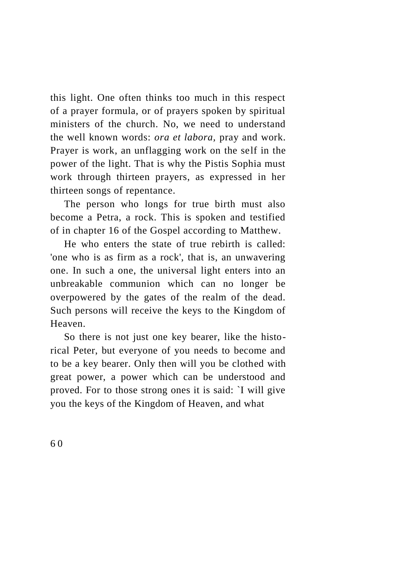this light. One often thinks too much in this respect of a prayer formula, or of prayers spoken by spiritual ministers of the church. No, we need to understand the well known words: *ora et labora,* pray and work. Prayer is work, an unflagging work on the self in the power of the light. That is why the Pistis Sophia must work through thirteen prayers, as expressed in her thirteen songs of repentance.

The person who longs for true birth must also become a Petra, a rock. This is spoken and testified of in chapter 16 of the Gospel according to Matthew.

He who enters the state of true rebirth is called: 'one who is as firm as a rock', that is, an unwavering one. In such a one, the universal light enters into an unbreakable communion which can no longer be overpowered by the gates of the realm of the dead. Such persons will receive the keys to the Kingdom of Heaven.

So there is not just one key bearer, like the historical Peter, but everyone of you needs to become and to be a key bearer. Only then will you be clothed with great power, a power which can be understood and proved. For to those strong ones it is said: `I will give you the keys of the Kingdom of Heaven, and what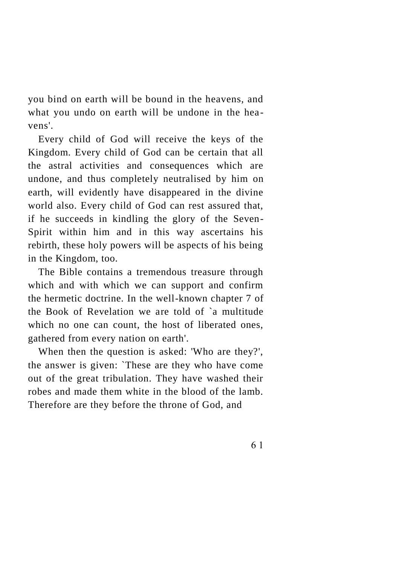you bind on earth will be bound in the heavens, and what you undo on earth will be undone in the heavens'.

Every child of God will receive the keys of the Kingdom. Every child of God can be certain that all the astral activities and consequences which are undone, and thus completely neutralised by him on earth, will evidently have disappeared in the divine world also. Every child of God can rest assured that, if he succeeds in kindling the glory of the Seven-Spirit within him and in this way ascertains his rebirth, these holy powers will be aspects of his being in the Kingdom, too.

The Bible contains a tremendous treasure through which and with which we can support and confirm the hermetic doctrine. In the well-known chapter 7 of the Book of Revelation we are told of `a multitude which no one can count, the host of liberated ones. gathered from every nation on earth'.

When then the question is asked: 'Who are they?', the answer is given: `These are they who have come out of the great tribulation. They have washed their robes and made them white in the blood of the lamb. Therefore are they before the throne of God, and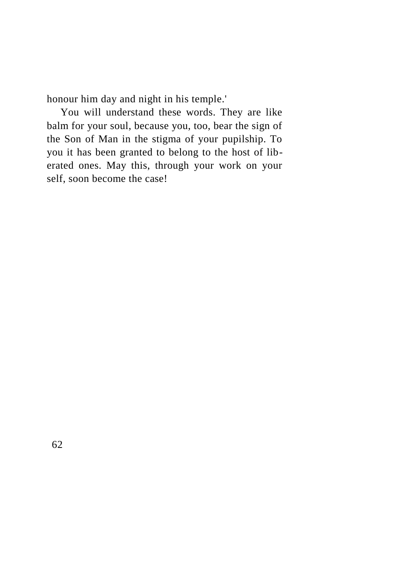honour him day and night in his temple.'

You will understand these words. They are like balm for your soul, because you, too, bear the sign of the Son of Man in the stigma of your pupilship. To you it has been granted to belong to the host of liberated ones. May this, through your work on your self, soon become the case!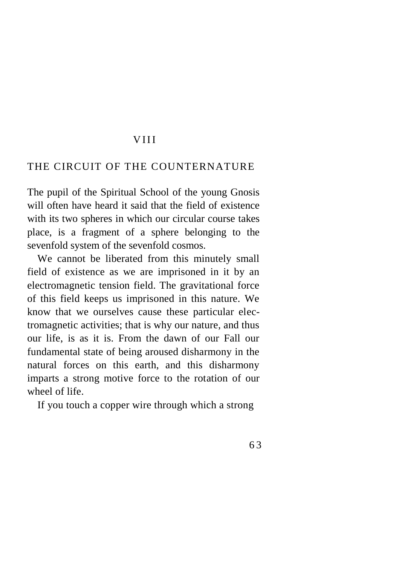#### V I I I

## THE CIRCUIT OF THE COUNTERNATURE

The pupil of the Spiritual School of the young Gnosis will often have heard it said that the field of existence with its two spheres in which our circular course takes place, is a fragment of a sphere belonging to the sevenfold system of the sevenfold cosmos.

We cannot be liberated from this minutely small field of existence as we are imprisoned in it by an electromagnetic tension field. The gravitational force of this field keeps us imprisoned in this nature. We know that we ourselves cause these particular electromagnetic activities; that is why our nature, and thus our life, is as it is. From the dawn of our Fall our fundamental state of being aroused disharmony in the natural forces on this earth, and this disharmony imparts a strong motive force to the rotation of our wheel of life.

If you touch a copper wire through which a strong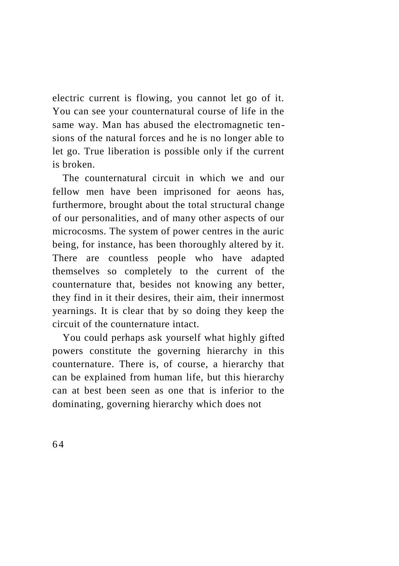electric current is flowing, you cannot let go of it. You can see your counternatural course of life in the same way. Man has abused the electromagnetic tensions of the natural forces and he is no longer able to let go. True liberation is possible only if the current is broken.

The counternatural circuit in which we and our fellow men have been imprisoned for aeons has, furthermore, brought about the total structural change of our personalities, and of many other aspects of our microcosms. The system of power centres in the auric being, for instance, has been thoroughly altered by it. There are countless people who have adapted themselves so completely to the current of the counternature that, besides not knowing any better, they find in it their desires, their aim, their innermost yearnings. It is clear that by so doing they keep the circuit of the counternature intact.

You could perhaps ask yourself what highly gifted powers constitute the governing hierarchy in this counternature. There is, of course, a hierarchy that can be explained from human life, but this hierarchy can at best been seen as one that is inferior to the dominating, governing hierarchy which does not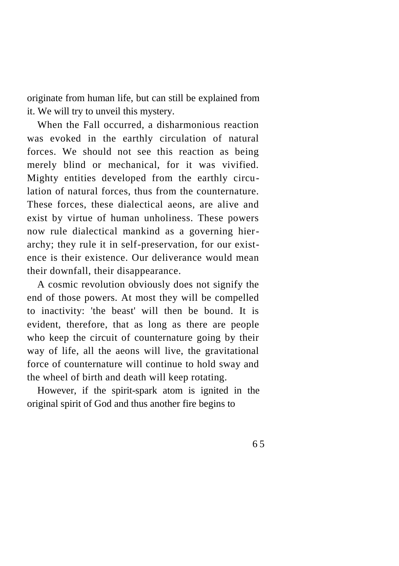originate from human life, but can still be explained from it. We will try to unveil this mystery.

When the Fall occurred, a disharmonious reaction was evoked in the earthly circulation of natural forces. We should not see this reaction as being merely blind or mechanical, for it was vivified. Mighty entities developed from the earthly circulation of natural forces, thus from the counternature. These forces, these dialectical aeons, are alive and exist by virtue of human unholiness. These powers now rule dialectical mankind as a governing hierarchy; they rule it in self-preservation, for our existence is their existence. Our deliverance would mean their downfall, their disappearance.

A cosmic revolution obviously does not signify the end of those powers. At most they will be compelled to inactivity: 'the beast' will then be bound. It is evident, therefore, that as long as there are people who keep the circuit of counternature going by their way of life, all the aeons will live, the gravitational force of counternature will continue to hold sway and the wheel of birth and death will keep rotating.

However, if the spirit-spark atom is ignited in the original spirit of God and thus another fire begins to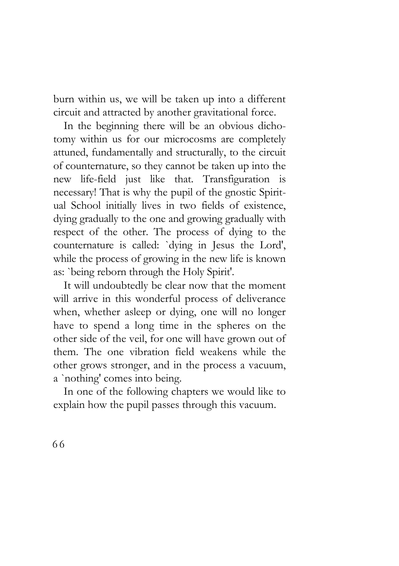burn within us, we will be taken up into a different circuit and attracted by another gravitational force.

In the beginning there will be an obvious dichotomy within us for our microcosms are completely attuned, fundamentally and structurally, to the circuit of counternature, so they cannot be taken up into the new life-field just like that. Transfiguration is necessary! That is why the pupil of the gnostic Spiritual School initially lives in two fields of existence, dying gradually to the one and growing gradually with respect of the other. The process of dying to the counternature is called: `dying in Jesus the Lord', while the process of growing in the new life is known as: `being reborn through the Holy Spirit'.

It will undoubtedly be clear now that the moment will arrive in this wonderful process of deliverance when, whether asleep or dying, one will no longer have to spend a long time in the spheres on the other side of the veil, for one will have grown out of them. The one vibration field weakens while the other grows stronger, and in the process a vacuum, a `nothing' comes into being.

In one of the following chapters we would like to explain how the pupil passes through this vacuum.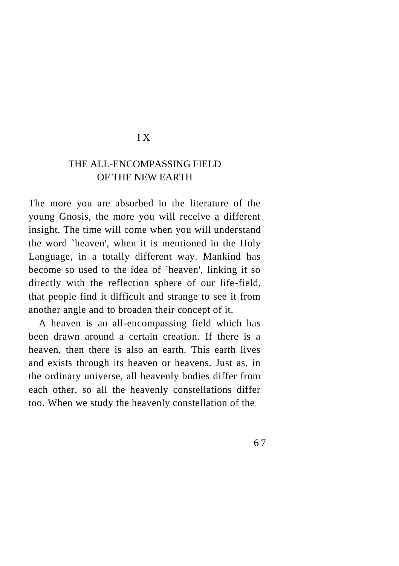### I X

### THE ALL-ENCOMPASSING FIELD OF THE NEW EARTH

The more you are absorbed in the literature of the young Gnosis, the more you will receive a different insight. The time will come when you will understand the word `heaven', when it is mentioned in the Holy Language, in a totally different way. Mankind has become so used to the idea of `heaven', linking it so directly with the reflection sphere of our life-field, that people find it difficult and strange to see it from another angle and to broaden their concept of it.

A heaven is an all-encompassing field which has been drawn around a certain creation. If there is a heaven, then there is also an earth. This earth lives and exists through its heaven or heavens. Just as, in the ordinary universe, all heavenly bodies differ from each other, so all the heavenly constellations differ too. When we study the heavenly constellation of the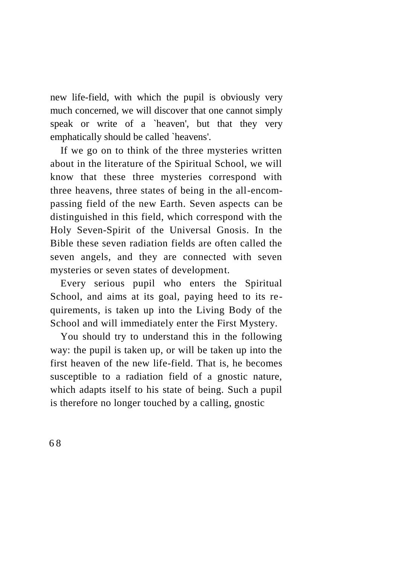new life-field, with which the pupil is obviously very much concerned, we will discover that one cannot simply speak or write of a `heaven', but that they very emphatically should be called `heavens'.

If we go on to think of the three mysteries written about in the literature of the Spiritual School, we will know that these three mysteries correspond with three heavens, three states of being in the all-encompassing field of the new Earth. Seven aspects can be distinguished in this field, which correspond with the Holy Seven-Spirit of the Universal Gnosis. In the Bible these seven radiation fields are often called the seven angels, and they are connected with seven mysteries or seven states of development.

Every serious pupil who enters the Spiritual School, and aims at its goal, paying heed to its requirements, is taken up into the Living Body of the School and will immediately enter the First Mystery.

You should try to understand this in the following way: the pupil is taken up, or will be taken up into the first heaven of the new life-field. That is, he becomes susceptible to a radiation field of a gnostic nature, which adapts itself to his state of being. Such a pupil is therefore no longer touched by a calling, gnostic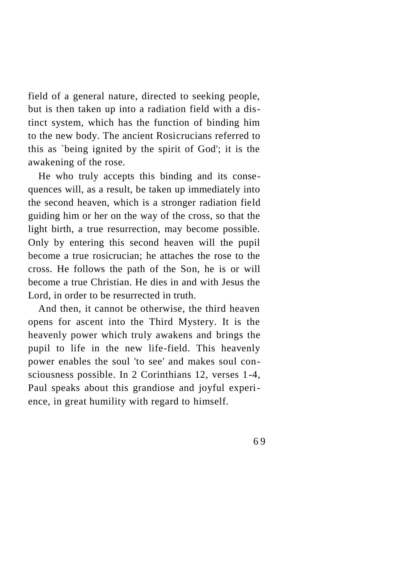field of a general nature, directed to seeking people, but is then taken up into a radiation field with a distinct system, which has the function of binding him to the new body. The ancient Rosicrucians referred to this as `being ignited by the spirit of God'; it is the awakening of the rose.

He who truly accepts this binding and its consequences will, as a result, be taken up immediately into the second heaven, which is a stronger radiation field guiding him or her on the way of the cross, so that the light birth, a true resurrection, may become possible. Only by entering this second heaven will the pupil become a true rosicrucian; he attaches the rose to the cross. He follows the path of the Son, he is or will become a true Christian. He dies in and with Jesus the Lord, in order to be resurrected in truth.

And then, it cannot be otherwise, the third heaven opens for ascent into the Third Mystery. It is the heavenly power which truly awakens and brings the pupil to life in the new life-field. This heavenly power enables the soul 'to see' and makes soul consciousness possible. In 2 Corinthians 12, verses 1-4, Paul speaks about this grandiose and joyful experience, in great humility with regard to himself.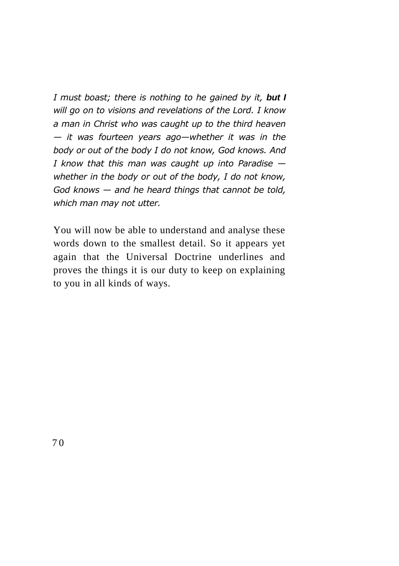*I must boast; there is nothing to he gained by it, but I will go on to visions and revelations of the Lord. I know a man in Christ who was caught up to the third heaven — it was fourteen years ago—whether it was in the body or out of the body I do not know, God knows. And I know that this man was caught up into Paradise whether in the body or out of the body, I do not know, God knows — and he heard things that cannot be told, which man may not utter.*

You will now be able to understand and analyse these words down to the smallest detail. So it appears yet again that the Universal Doctrine underlines and proves the things it is our duty to keep on explaining to you in all kinds of ways.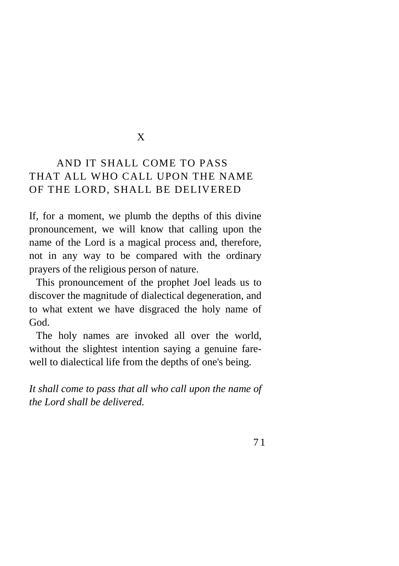### X

# AND IT SHALL COME TO PASS THAT ALL WHO CALL UPON THE NAME OF THE LORD, SHALL BE DELIVERED

If, for a moment, we plumb the depths of this divine pronouncement, we will know that calling upon the name of the Lord is a magical process and, therefore, not in any way to be compared with the ordinary prayers of the religious person of nature.

This pronouncement of the prophet Joel leads us to discover the magnitude of dialectical degeneration, and to what extent we have disgraced the holy name of God.

The holy names are invoked all over the world, without the slightest intention saying a genuine farewell to dialectical life from the depths of one's being.

*It shall come to pass that all who call upon the name of the Lord shall be delivered.*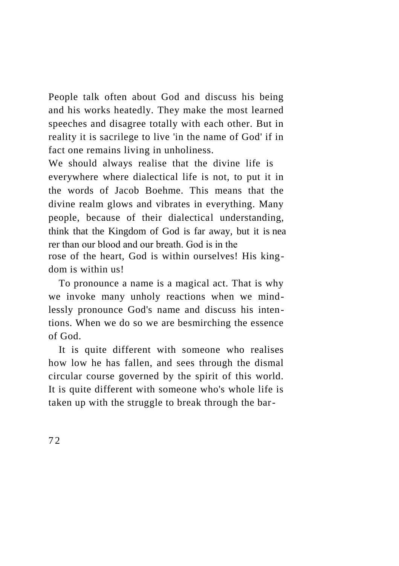People talk often about God and discuss his being and his works heatedly. They make the most learned speeches and disagree totally with each other. But in reality it is sacrilege to live 'in the name of God' if in fact one remains living in unholiness.

We should always realise that the divine life is everywhere where dialectical life is not, to put it in the words of Jacob Boehme. This means that the divine realm glows and vibrates in everything. Many people, because of their dialectical understanding, think that the Kingdom of God is far away, but it is nea rer than our blood and our breath. God is in the rose of the heart, God is within ourselves! His king-

dom is within us!

To pronounce a name is a magical act. That is why we invoke many unholy reactions when we mindlessly pronounce God's name and discuss his intentions. When we do so we are besmirching the essence of God.

It is quite different with someone who realises how low he has fallen, and sees through the dismal circular course governed by the spirit of this world. It is quite different with someone who's whole life is taken up with the struggle to break through the bar-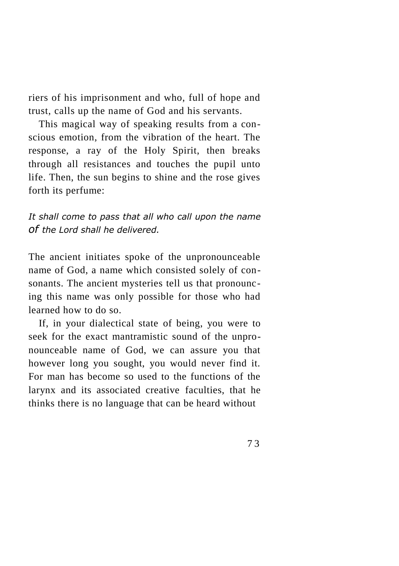riers of his imprisonment and who, full of hope and trust, calls up the name of God and his servants.

This magical way of speaking results from a conscious emotion, from the vibration of the heart. The response, a ray of the Holy Spirit, then breaks through all resistances and touches the pupil unto life. Then, the sun begins to shine and the rose gives forth its perfume:

*It shall come to pass that all who call upon the name of the Lord shall he delivered.*

The ancient initiates spoke of the unpronounceable name of God, a name which consisted solely of consonants. The ancient mysteries tell us that pronouncing this name was only possible for those who had learned how to do so.

If, in your dialectical state of being, you were to seek for the exact mantramistic sound of the unpronounceable name of God, we can assure you that however long you sought, you would never find it. For man has become so used to the functions of the larynx and its associated creative faculties, that he thinks there is no language that can be heard without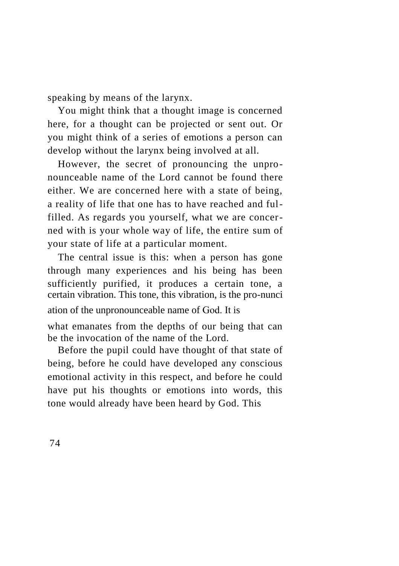speaking by means of the larynx.

You might think that a thought image is concerned here, for a thought can be projected or sent out. Or you might think of a series of emotions a person can develop without the larynx being involved at all.

However, the secret of pronouncing the unpronounceable name of the Lord cannot be found there either. We are concerned here with a state of being, a reality of life that one has to have reached and fulfilled. As regards you yourself, what we are concerned with is your whole way of life, the entire sum of your state of life at a particular moment.

The central issue is this: when a person has gone through many experiences and his being has been sufficiently purified, it produces a certain tone, a certain vibration. This tone, this vibration, is the pro-nunci ation of the unpronounceable name of God. It is

what emanates from the depths of our being that can be the invocation of the name of the Lord.

Before the pupil could have thought of that state of being, before he could have developed any conscious emotional activity in this respect, and before he could have put his thoughts or emotions into words, this tone would already have been heard by God. This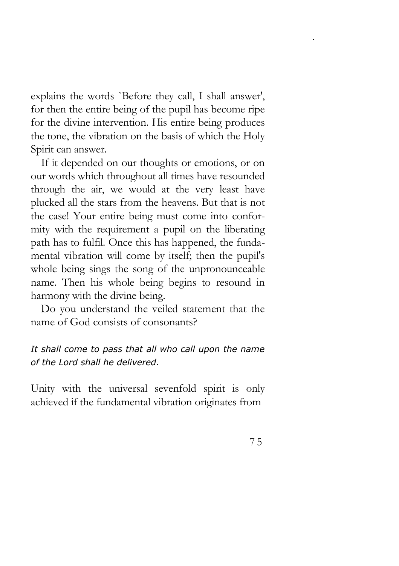explains the words `Before they call, I shall answer', for then the entire being of the pupil has become ripe for the divine intervention. His entire being produces the tone, the vibration on the basis of which the Holy Spirit can answer.

If it depended on our thoughts or emotions, or on our words which throughout all times have resounded through the air, we would at the very least have plucked all the stars from the heavens. But that is not the case! Your entire being must come into conformity with the requirement a pupil on the liberating path has to fulfil. Once this has happened, the fundamental vibration will come by itself; then the pupil's whole being sings the song of the unpronounceable name. Then his whole being begins to resound in harmony with the divine being.

Do you understand the veiled statement that the name of God consists of consonants?

# *It shall come to pass that all who call upon the name of the Lord shall he delivered.*

Unity with the universal sevenfold spirit is only achieved if the fundamental vibration originates from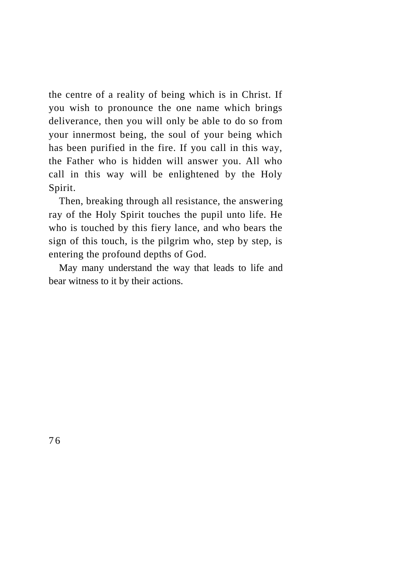the centre of a reality of being which is in Christ. If you wish to pronounce the one name which brings deliverance, then you will only be able to do so from your innermost being, the soul of your being which has been purified in the fire. If you call in this way, the Father who is hidden will answer you. All who call in this way will be enlightened by the Holy Spirit.

Then, breaking through all resistance, the answering ray of the Holy Spirit touches the pupil unto life. He who is touched by this fiery lance, and who bears the sign of this touch, is the pilgrim who, step by step, is entering the profound depths of God.

May many understand the way that leads to life and bear witness to it by their actions.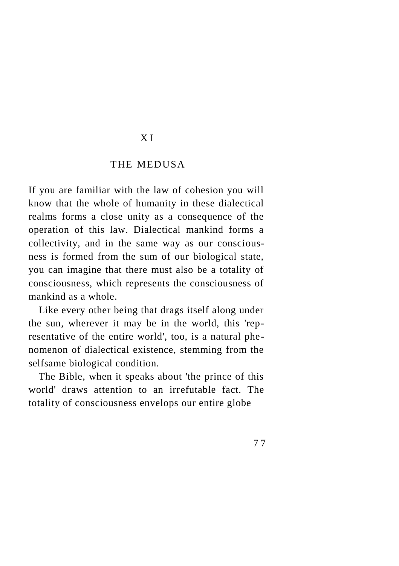#### X I

#### THE MEDUSA

If you are familiar with the law of cohesion you will know that the whole of humanity in these dialectical realms forms a close unity as a consequence of the operation of this law. Dialectical mankind forms a collectivity, and in the same way as our consciousness is formed from the sum of our biological state, you can imagine that there must also be a totality of consciousness, which represents the consciousness of mankind as a whole.

Like every other being that drags itself along under the sun, wherever it may be in the world, this 'representative of the entire world', too, is a natural phenomenon of dialectical existence, stemming from the selfsame biological condition.

The Bible, when it speaks about 'the prince of this world' draws attention to an irrefutable fact. The totality of consciousness envelops our entire globe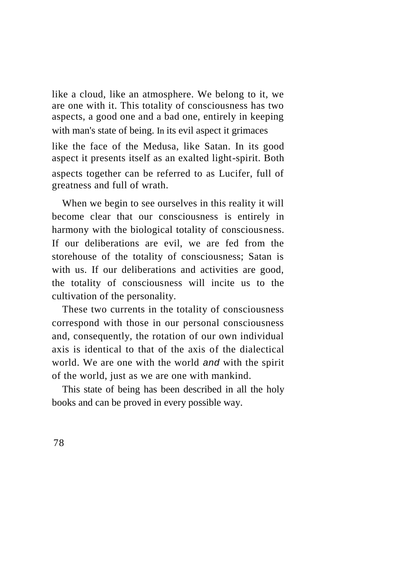like a cloud, like an atmosphere. We belong to it, we are one with it. This totality of consciousness has two aspects, a good one and a bad one, entirely in keeping with man's state of being. In its evil aspect it grimaces

like the face of the Medusa, like Satan. In its good aspect it presents itself as an exalted light-spirit. Both aspects together can be referred to as Lucifer, full of greatness and full of wrath.

When we begin to see ourselves in this reality it will become clear that our consciousness is entirely in harmony with the biological totality of consciousness. If our deliberations are evil, we are fed from the storehouse of the totality of consciousness; Satan is with us. If our deliberations and activities are good, the totality of consciousness will incite us to the cultivation of the personality.

These two currents in the totality of consciousness correspond with those in our personal consciousness and, consequently, the rotation of our own individual axis is identical to that of the axis of the dialectical world. We are one with the world *and* with the spirit of the world, just as we are one with mankind.

This state of being has been described in all the holy books and can be proved in every possible way.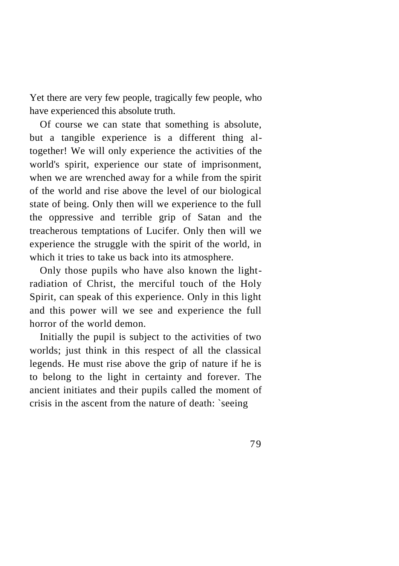Yet there are very few people, tragically few people, who have experienced this absolute truth.

Of course we can state that something is absolute, but a tangible experience is a different thing altogether! We will only experience the activities of the world's spirit, experience our state of imprisonment, when we are wrenched away for a while from the spirit of the world and rise above the level of our biological state of being. Only then will we experience to the full the oppressive and terrible grip of Satan and the treacherous temptations of Lucifer. Only then will we experience the struggle with the spirit of the world, in which it tries to take us back into its atmosphere.

Only those pupils who have also known the lightradiation of Christ, the merciful touch of the Holy Spirit, can speak of this experience. Only in this light and this power will we see and experience the full horror of the world demon.

Initially the pupil is subject to the activities of two worlds; just think in this respect of all the classical legends. He must rise above the grip of nature if he is to belong to the light in certainty and forever. The ancient initiates and their pupils called the moment of crisis in the ascent from the nature of death: `seeing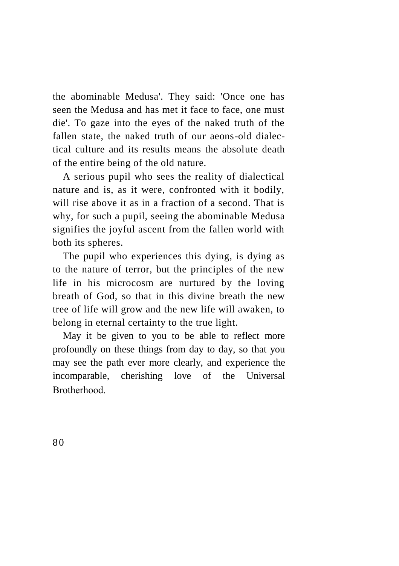the abominable Medusa'. They said: 'Once one has seen the Medusa and has met it face to face, one must die'. To gaze into the eyes of the naked truth of the fallen state, the naked truth of our aeons-old dialectical culture and its results means the absolute death of the entire being of the old nature.

A serious pupil who sees the reality of dialectical nature and is, as it were, confronted with it bodily, will rise above it as in a fraction of a second. That is why, for such a pupil, seeing the abominable Medusa signifies the joyful ascent from the fallen world with both its spheres.

The pupil who experiences this dying, is dying as to the nature of terror, but the principles of the new life in his microcosm are nurtured by the loving breath of God, so that in this divine breath the new tree of life will grow and the new life will awaken, to belong in eternal certainty to the true light.

May it be given to you to be able to reflect more profoundly on these things from day to day, so that you may see the path ever more clearly, and experience the incomparable, cherishing love of the Universal Brotherhood.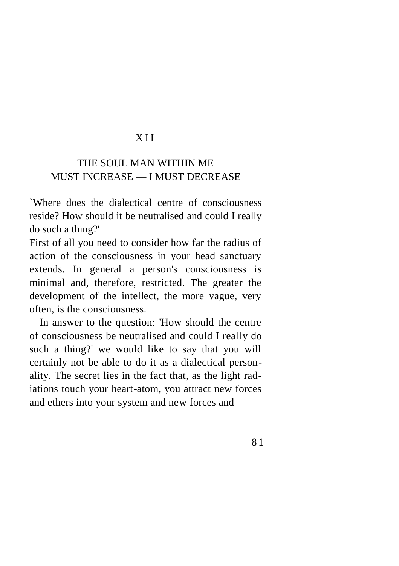### X I I

# THE SOUL MAN WITHIN ME MUST INCREASE — I MUST DECREASE

`Where does the dialectical centre of consciousness reside? How should it be neutralised and could I really do such a thing?'

First of all you need to consider how far the radius of action of the consciousness in your head sanctuary extends. In general a person's consciousness is minimal and, therefore, restricted. The greater the development of the intellect, the more vague, very often, is the consciousness.

In answer to the question: 'How should the centre of consciousness be neutralised and could I really do such a thing?' we would like to say that you will certainly not be able to do it as a dialectical personality. The secret lies in the fact that, as the light radiations touch your heart-atom, you attract new forces and ethers into your system and new forces and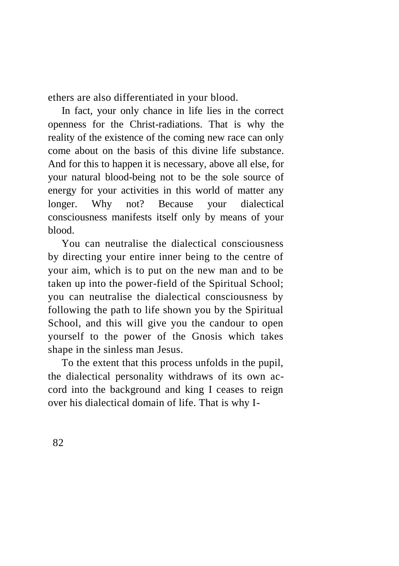ethers are also differentiated in your blood.

In fact, your only chance in life lies in the correct openness for the Christ-radiations. That is why the reality of the existence of the coming new race can only come about on the basis of this divine life substance. And for this to happen it is necessary, above all else, for your natural blood-being not to be the sole source of energy for your activities in this world of matter any longer. Why not? Because your dialectical consciousness manifests itself only by means of your blood.

You can neutralise the dialectical consciousness by directing your entire inner being to the centre of your aim, which is to put on the new man and to be taken up into the power-field of the Spiritual School; you can neutralise the dialectical consciousness by following the path to life shown you by the Spiritual School, and this will give you the candour to open yourself to the power of the Gnosis which takes shape in the sinless man Jesus.

To the extent that this process unfolds in the pupil, the dialectical personality withdraws of its own accord into the background and king I ceases to reign over his dialectical domain of life. That is why I-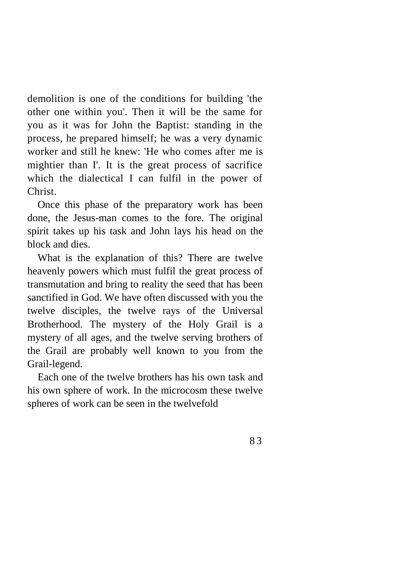demolition is one of the conditions for building 'the other one within you'. Then it will be the same for you as it was for John the Baptist: standing in the process, he prepared himself; he was a very dynamic worker and still he knew: 'He who comes after me is mightier than I'. It is the great process of sacrifice which the dialectical I can fulfil in the power of Christ.

Once this phase of the preparatory work has been done, the Jesus-man comes to the fore. The original spirit takes up his task and John lays his head on the block and dies.

What is the explanation of this? There are twelve heavenly powers which must fulfil the great process of transmutation and bring to reality the seed that has been sanctified in God. We have often discussed with you the twelve disciples, the twelve rays of the Universal Brotherhood. The mystery of the Holy Grail is a mystery of all ages, and the twelve serving brothers of the Grail are probably well known to you from the Grail-legend.

Each one of the twelve brothers has his own task and his own sphere of work. In the microcosm these twelve spheres of work can be seen in the twelvefold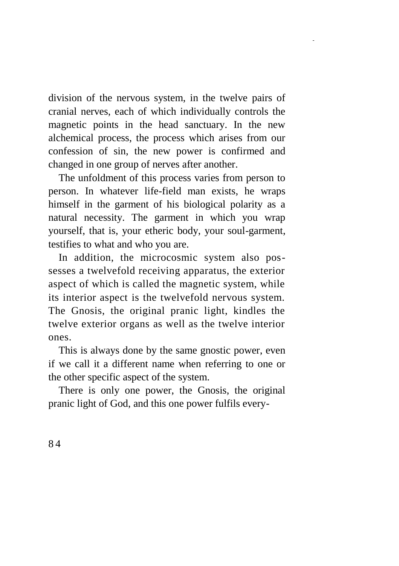division of the nervous system, in the twelve pairs of cranial nerves, each of which individually controls the magnetic points in the head sanctuary. In the new alchemical process, the process which arises from our confession of sin, the new power is confirmed and changed in one group of nerves after another.

The unfoldment of this process varies from person to person. In whatever life-field man exists, he wraps himself in the garment of his biological polarity as a natural necessity. The garment in which you wrap yourself, that is, your etheric body, your soul-garment, testifies to what and who you are.

In addition, the microcosmic system also possesses a twelvefold receiving apparatus, the exterior aspect of which is called the magnetic system, while its interior aspect is the twelvefold nervous system. The Gnosis, the original pranic light, kindles the twelve exterior organs as well as the twelve interior ones.

This is always done by the same gnostic power, even if we call it a different name when referring to one or the other specific aspect of the system.

There is only one power, the Gnosis, the original pranic light of God, and this one power fulfils every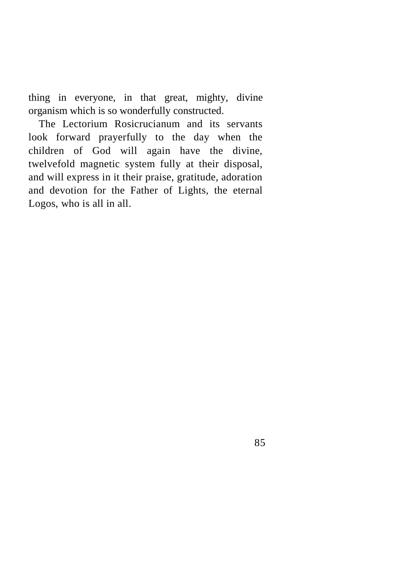thing in everyone, in that great, mighty, divine organism which is so wonderfully constructed.

The Lectorium Rosicrucianum and its servants look forward prayerfully to the day when the children of God will again have the divine, twelvefold magnetic system fully at their disposal, and will express in it their praise, gratitude, adoration and devotion for the Father of Lights, the eternal Logos, who is all in all.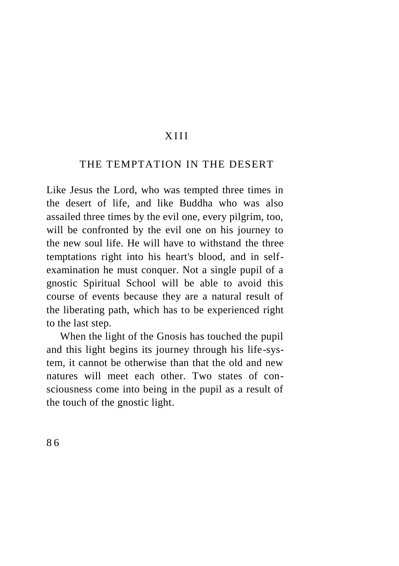# X I I I

#### THE TEMPTATION IN THE DESERT

Like Jesus the Lord, who was tempted three times in the desert of life, and like Buddha who was also assailed three times by the evil one, every pilgrim, too, will be confronted by the evil one on his journey to the new soul life. He will have to withstand the three temptations right into his heart's blood, and in selfexamination he must conquer. Not a single pupil of a gnostic Spiritual School will be able to avoid this course of events because they are a natural result of the liberating path, which has to be experienced right to the last step.

When the light of the Gnosis has touched the pupil and this light begins its journey through his life-system, it cannot be otherwise than that the old and new natures will meet each other. Two states of consciousness come into being in the pupil as a result of the touch of the gnostic light.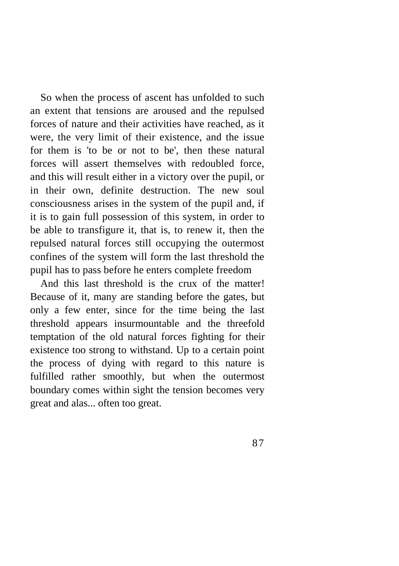So when the process of ascent has unfolded to such an extent that tensions are aroused and the repulsed forces of nature and their activities have reached, as it were, the very limit of their existence, and the issue for them is 'to be or not to be', then these natural forces will assert themselves with redoubled force, and this will result either in a victory over the pupil, or in their own, definite destruction. The new soul consciousness arises in the system of the pupil and, if it is to gain full possession of this system, in order to be able to transfigure it, that is, to renew it, then the repulsed natural forces still occupying the outermost confines of the system will form the last threshold the pupil has to pass before he enters complete freedom

And this last threshold is the crux of the matter! Because of it, many are standing before the gates, but only a few enter, since for the time being the last threshold appears insurmountable and the threefold temptation of the old natural forces fighting for their existence too strong to withstand. Up to a certain point the process of dying with regard to this nature is fulfilled rather smoothly, but when the outermost boundary comes within sight the tension becomes very great and alas... often too great.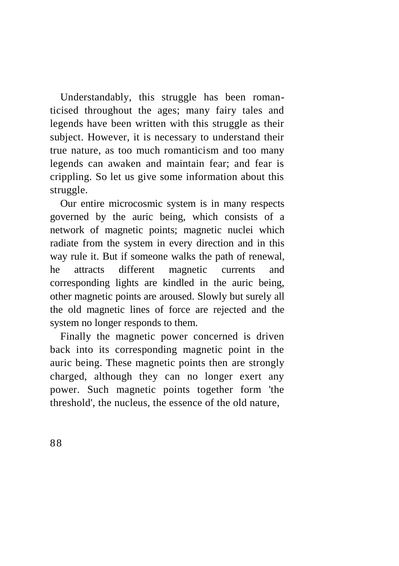Understandably, this struggle has been romanticised throughout the ages; many fairy tales and legends have been written with this struggle as their subject. However, it is necessary to understand their true nature, as too much romanticism and too many legends can awaken and maintain fear; and fear is crippling. So let us give some information about this struggle.

Our entire microcosmic system is in many respects governed by the auric being, which consists of a network of magnetic points; magnetic nuclei which radiate from the system in every direction and in this way rule it. But if someone walks the path of renewal, he attracts different magnetic currents and corresponding lights are kindled in the auric being, other magnetic points are aroused. Slowly but surely all the old magnetic lines of force are rejected and the system no longer responds to them.

Finally the magnetic power concerned is driven back into its corresponding magnetic point in the auric being. These magnetic points then are strongly charged, although they can no longer exert any power. Such magnetic points together form 'the threshold', the nucleus, the essence of the old nature,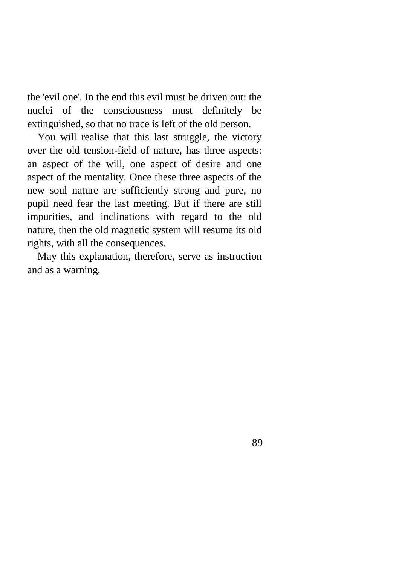the 'evil one'. In the end this evil must be driven out: the nuclei of the consciousness must definitely be extinguished, so that no trace is left of the old person.

You will realise that this last struggle, the victory over the old tension-field of nature, has three aspects: an aspect of the will, one aspect of desire and one aspect of the mentality. Once these three aspects of the new soul nature are sufficiently strong and pure, no pupil need fear the last meeting. But if there are still impurities, and inclinations with regard to the old nature, then the old magnetic system will resume its old rights, with all the consequences.

May this explanation, therefore, serve as instruction and as a warning.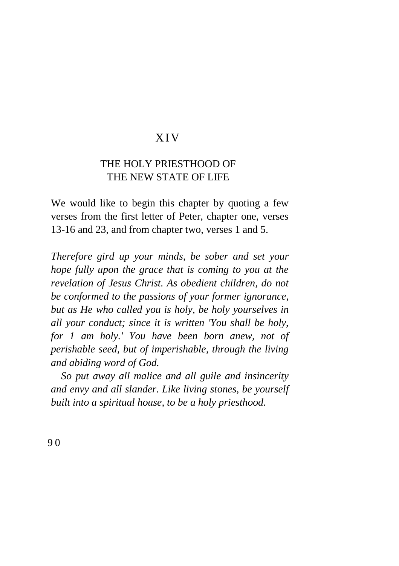### XI V

# THE HOLY PRIESTHOOD OF THE NEW STATE OF LIFE

We would like to begin this chapter by quoting a few verses from the first letter of Peter, chapter one, verses 13-16 and 23, and from chapter two, verses 1 and 5.

*Therefore gird up your minds, be sober and set your hope fully upon the grace that is coming to you at the revelation of Jesus Christ. As obedient children, do not be conformed to the passions of your former ignorance, but as He who called you is holy, be holy yourselves in all your conduct; since it is written 'You shall be holy, for 1 am holy.' You have been born anew, not of perishable seed, but of imperishable, through the living and abiding word of God.*

*So put away all malice and all guile and insincerity and envy and all slander. Like living stones, be yourself built into a spiritual house, to be a holy priesthood.*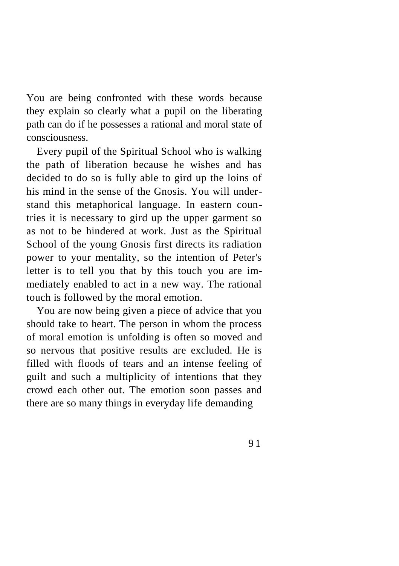You are being confronted with these words because they explain so clearly what a pupil on the liberating path can do if he possesses a rational and moral state of consciousness.

Every pupil of the Spiritual School who is walking the path of liberation because he wishes and has decided to do so is fully able to gird up the loins of his mind in the sense of the Gnosis. You will understand this metaphorical language. In eastern countries it is necessary to gird up the upper garment so as not to be hindered at work. Just as the Spiritual School of the young Gnosis first directs its radiation power to your mentality, so the intention of Peter's letter is to tell you that by this touch you are immediately enabled to act in a new way. The rational touch is followed by the moral emotion.

You are now being given a piece of advice that you should take to heart. The person in whom the process of moral emotion is unfolding is often so moved and so nervous that positive results are excluded. He is filled with floods of tears and an intense feeling of guilt and such a multiplicity of intentions that they crowd each other out. The emotion soon passes and there are so many things in everyday life demanding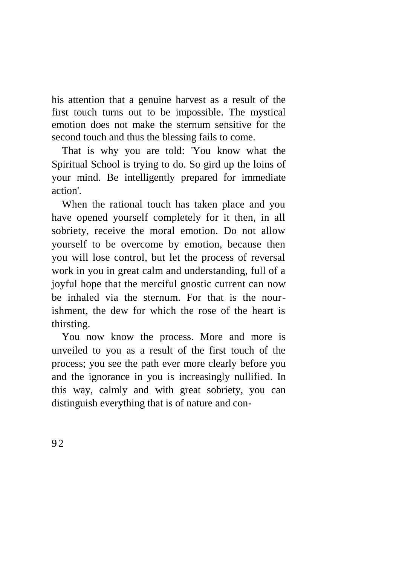his attention that a genuine harvest as a result of the first touch turns out to be impossible. The mystical emotion does not make the sternum sensitive for the second touch and thus the blessing fails to come.

That is why you are told: 'You know what the Spiritual School is trying to do. So gird up the loins of your mind. Be intelligently prepared for immediate action'.

When the rational touch has taken place and you have opened yourself completely for it then, in all sobriety, receive the moral emotion. Do not allow yourself to be overcome by emotion, because then you will lose control, but let the process of reversal work in you in great calm and understanding, full of a joyful hope that the merciful gnostic current can now be inhaled via the sternum. For that is the nourishment, the dew for which the rose of the heart is thirsting.

You now know the process. More and more is unveiled to you as a result of the first touch of the process; you see the path ever more clearly before you and the ignorance in you is increasingly nullified. In this way, calmly and with great sobriety, you can distinguish everything that is of nature and con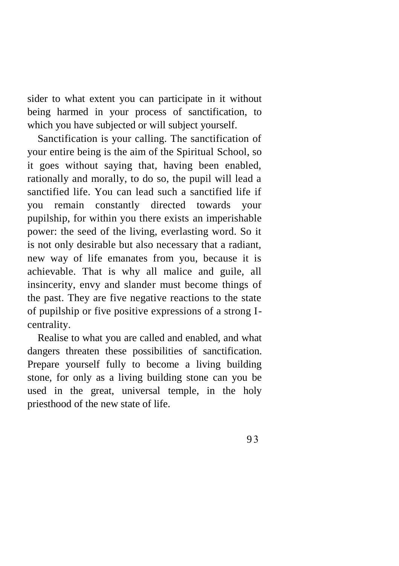sider to what extent you can participate in it without being harmed in your process of sanctification, to which you have subjected or will subject yourself.

Sanctification is your calling. The sanctification of your entire being is the aim of the Spiritual School, so it goes without saying that, having been enabled, rationally and morally, to do so, the pupil will lead a sanctified life. You can lead such a sanctified life if you remain constantly directed towards your pupilship, for within you there exists an imperishable power: the seed of the living, everlasting word. So it is not only desirable but also necessary that a radiant, new way of life emanates from you, because it is achievable. That is why all malice and guile, all insincerity, envy and slander must become things of the past. They are five negative reactions to the state of pupilship or five positive expressions of a strong Icentrality.

Realise to what you are called and enabled, and what dangers threaten these possibilities of sanctification. Prepare yourself fully to become a living building stone, for only as a living building stone can you be used in the great, universal temple, in the holy priesthood of the new state of life.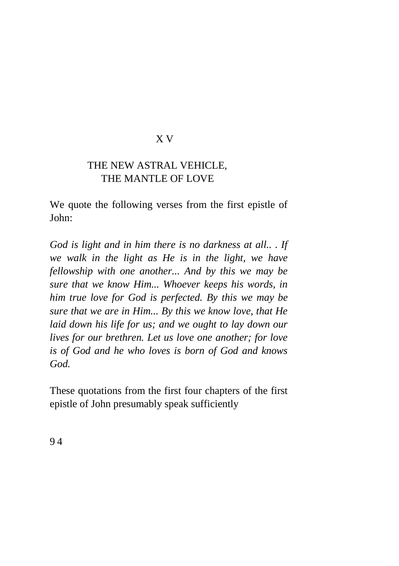### X V

# THE NEW ASTRAL VEHICLE, THE MANTLE OF LOVE

We quote the following verses from the first epistle of John:

*God is light and in him there is no darkness at all.. . If we walk in the light as He is in the light, we have fellowship with one another... And by this we may be sure that we know Him... Whoever keeps his words, in him true love for God is perfected. By this we may be sure that we are in Him... By this we know love, that He laid down his life for us; and we ought to lay down our lives for our brethren. Let us love one another; for love is of God and he who loves is born of God and knows God.*

These quotations from the first four chapters of the first epistle of John presumably speak sufficiently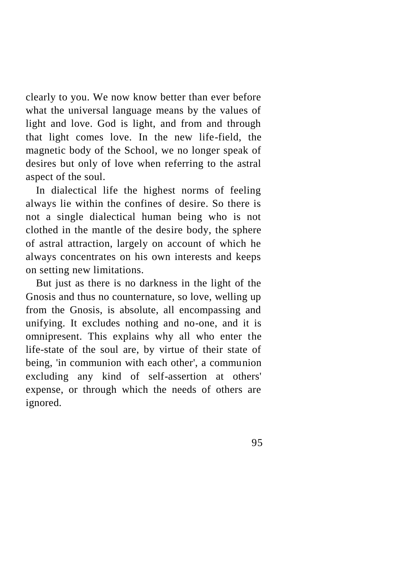clearly to you. We now know better than ever before what the universal language means by the values of light and love. God is light, and from and through that light comes love. In the new life-field, the magnetic body of the School, we no longer speak of desires but only of love when referring to the astral aspect of the soul.

In dialectical life the highest norms of feeling always lie within the confines of desire. So there is not a single dialectical human being who is not clothed in the mantle of the desire body, the sphere of astral attraction, largely on account of which he always concentrates on his own interests and keeps on setting new limitations.

But just as there is no darkness in the light of the Gnosis and thus no counternature, so love, welling up from the Gnosis, is absolute, all encompassing and unifying. It excludes nothing and no-one, and it is omnipresent. This explains why all who enter the life-state of the soul are, by virtue of their state of being, 'in communion with each other', a communion excluding any kind of self-assertion at others' expense, or through which the needs of others are ignored.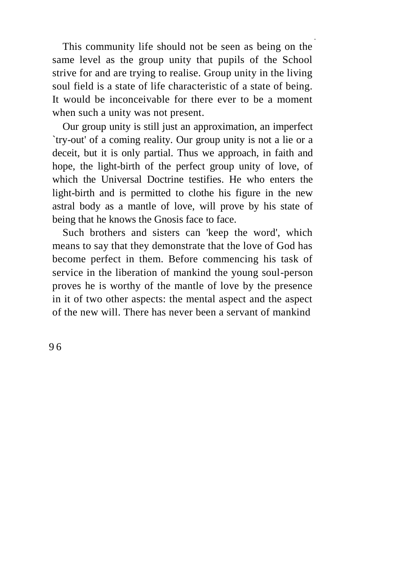This community life should not be seen as being on the same level as the group unity that pupils of the School strive for and are trying to realise. Group unity in the living soul field is a state of life characteristic of a state of being. It would be inconceivable for there ever to be a moment when such a unity was not present.

Our group unity is still just an approximation, an imperfect `try-out' of a coming reality. Our group unity is not a lie or a deceit, but it is only partial. Thus we approach, in faith and hope, the light-birth of the perfect group unity of love, of which the Universal Doctrine testifies. He who enters the light-birth and is permitted to clothe his figure in the new astral body as a mantle of love, will prove by his state of being that he knows the Gnosis face to face.

Such brothers and sisters can 'keep the word', which means to say that they demonstrate that the love of God has become perfect in them. Before commencing his task of service in the liberation of mankind the young soul-person proves he is worthy of the mantle of love by the presence in it of two other aspects: the mental aspect and the aspect of the new will. There has never been a servant of mankind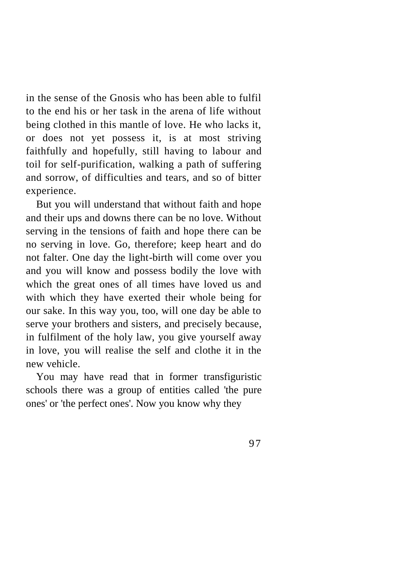in the sense of the Gnosis who has been able to fulfil to the end his or her task in the arena of life without being clothed in this mantle of love. He who lacks it, or does not yet possess it, is at most striving faithfully and hopefully, still having to labour and toil for self-purification, walking a path of suffering and sorrow, of difficulties and tears, and so of bitter experience.

But you will understand that without faith and hope and their ups and downs there can be no love. Without serving in the tensions of faith and hope there can be no serving in love. Go, therefore; keep heart and do not falter. One day the light-birth will come over you and you will know and possess bodily the love with which the great ones of all times have loved us and with which they have exerted their whole being for our sake. In this way you, too, will one day be able to serve your brothers and sisters, and precisely because, in fulfilment of the holy law, you give yourself away in love, you will realise the self and clothe it in the new vehicle.

You may have read that in former transfiguristic schools there was a group of entities called 'the pure ones' or 'the perfect ones'. Now you know why they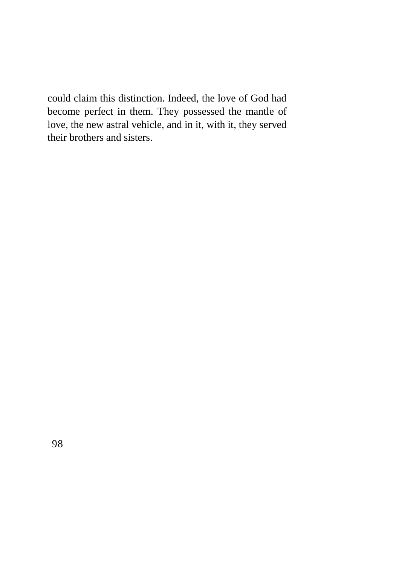could claim this distinction. Indeed, the love of God had become perfect in them. They possessed the mantle of love, the new astral vehicle, and in it, with it, they served their brothers and sisters.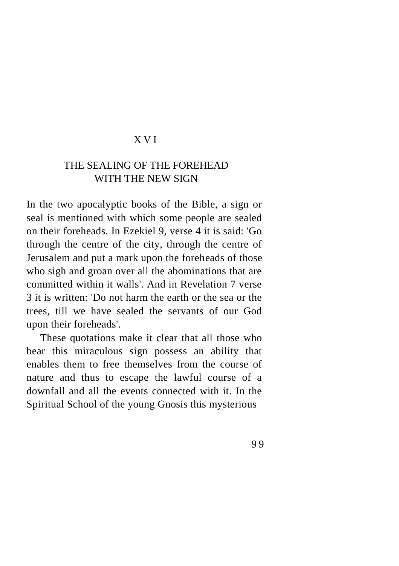# XVI

# THE SEALING OF THE FOREHEAD WITH THE NEW SIGN

In the two apocalyptic books of the Bible, a sign or seal is mentioned with which some people are sealed on their foreheads. In Ezekiel 9, verse 4 it is said: 'Go through the centre of the city, through the centre of Jerusalem and put a mark upon the foreheads of those who sigh and groan over all the abominations that are committed within it walls'. And in Revelation 7 verse 3 it is written: 'Do not harm the earth or the sea or the trees, till we have sealed the servants of our God upon their foreheads'.

These quotations make it clear that all those who bear this miraculous sign possess an ability that enables them to free themselves from the course of nature and thus to escape the lawful course of a downfall and all the events connected with it. In the Spiritual School of the young Gnosis this mysterious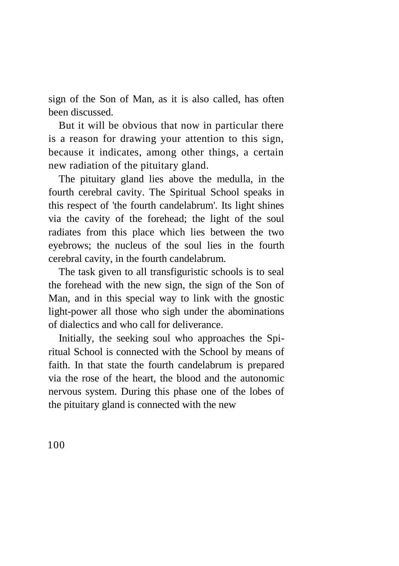sign of the Son of Man, as it is also called, has often been discussed.

But it will be obvious that now in particular there is a reason for drawing your attention to this sign, because it indicates, among other things, a certain new radiation of the pituitary gland.

The pituitary gland lies above the medulla, in the fourth cerebral cavity. The Spiritual School speaks in this respect of 'the fourth candelabrum'. Its light shines via the cavity of the forehead; the light of the soul radiates from this place which lies between the two eyebrows; the nucleus of the soul lies in the fourth cerebral cavity, in the fourth candelabrum.

The task given to all transfiguristic schools is to seal the forehead with the new sign, the sign of the Son of Man, and in this special way to link with the gnostic light-power all those who sigh under the abominations of dialectics and who call for deliverance.

Initially, the seeking soul who approaches the Spiritual School is connected with the School by means of faith. In that state the fourth candelabrum is prepared via the rose of the heart, the blood and the autonomic nervous system. During this phase one of the lobes of the pituitary gland is connected with the new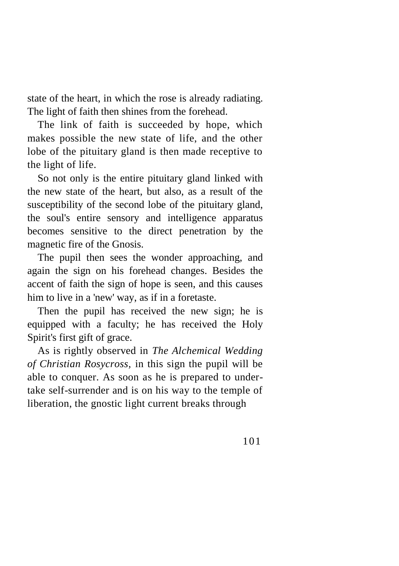state of the heart, in which the rose is already radiating. The light of faith then shines from the forehead.

The link of faith is succeeded by hope, which makes possible the new state of life, and the other lobe of the pituitary gland is then made receptive to the light of life.

So not only is the entire pituitary gland linked with the new state of the heart, but also, as a result of the susceptibility of the second lobe of the pituitary gland, the soul's entire sensory and intelligence apparatus becomes sensitive to the direct penetration by the magnetic fire of the Gnosis.

The pupil then sees the wonder approaching, and again the sign on his forehead changes. Besides the accent of faith the sign of hope is seen, and this causes him to live in a 'new' way, as if in a foretaste.

Then the pupil has received the new sign; he is equipped with a faculty; he has received the Holy Spirit's first gift of grace.

As is rightly observed in *The Alchemical Wedding of Christian Rosycross,* in this sign the pupil will be able to conquer. As soon as he is prepared to undertake self-surrender and is on his way to the temple of liberation, the gnostic light current breaks through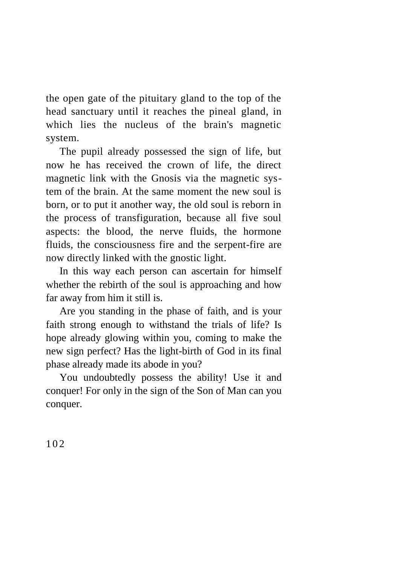the open gate of the pituitary gland to the top of the head sanctuary until it reaches the pineal gland, in which lies the nucleus of the brain's magnetic system.

The pupil already possessed the sign of life, but now he has received the crown of life, the direct magnetic link with the Gnosis via the magnetic system of the brain. At the same moment the new soul is born, or to put it another way, the old soul is reborn in the process of transfiguration, because all five soul aspects: the blood, the nerve fluids, the hormone fluids, the consciousness fire and the serpent-fire are now directly linked with the gnostic light.

In this way each person can ascertain for himself whether the rebirth of the soul is approaching and how far away from him it still is.

Are you standing in the phase of faith, and is your faith strong enough to withstand the trials of life? Is hope already glowing within you, coming to make the new sign perfect? Has the light-birth of God in its final phase already made its abode in you?

You undoubtedly possess the ability! Use it and conquer! For only in the sign of the Son of Man can you conquer.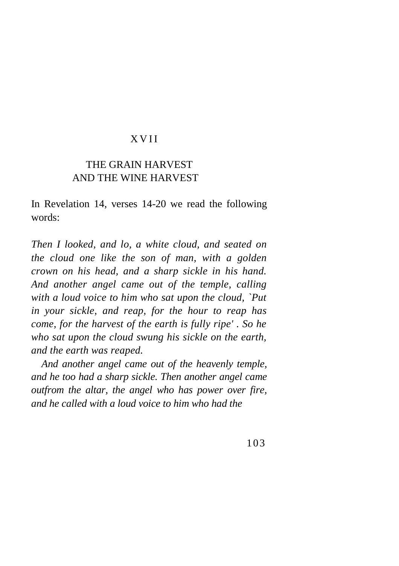### X V I I

# THE GRAIN HARVEST AND THE WINE HARVEST

In Revelation 14, verses 14-20 we read the following words:

*Then I looked, and lo, a white cloud, and seated on the cloud one like the son of man, with a golden crown on his head, and a sharp sickle in his hand. And another angel came out of the temple, calling with a loud voice to him who sat upon the cloud, `Put in your sickle, and reap, for the hour to reap has come, for the harvest of the earth is fully ripe' . So he who sat upon the cloud swung his sickle on the earth, and the earth was reaped.*

*And another angel came out of the heavenly temple, and he too had a sharp sickle. Then another angel came outfrom the altar, the angel who has power over fire, and he called with a loud voice to him who had the*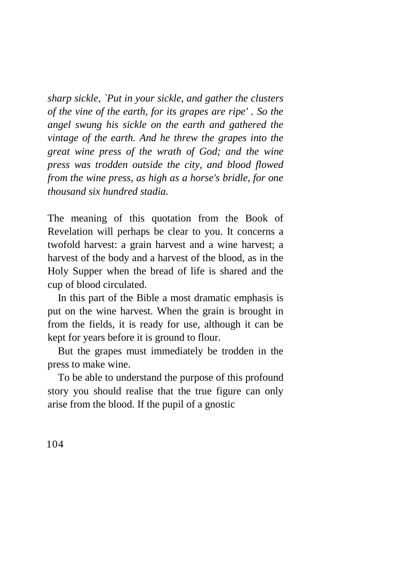*sharp sickle, `Put in your sickle, and gather the clusters of the vine of the earth, for its grapes are ripe' . So the angel swung his sickle on the earth and gathered the vintage of the earth. And he threw the grapes into the great wine press of the wrath of God; and the wine press was trodden outside the city, and blood flowed from the wine press, as high as a horse's bridle, for one thousand six hundred stadia.*

The meaning of this quotation from the Book of Revelation will perhaps be clear to you. It concerns a twofold harvest: a grain harvest and a wine harvest; a harvest of the body and a harvest of the blood, as in the Holy Supper when the bread of life is shared and the cup of blood circulated.

In this part of the Bible a most dramatic emphasis is put on the wine harvest. When the grain is brought in from the fields, it is ready for use, although it can be kept for years before it is ground to flour.

But the grapes must immediately be trodden in the press to make wine.

To be able to understand the purpose of this profound story you should realise that the true figure can only arise from the blood. If the pupil of a gnostic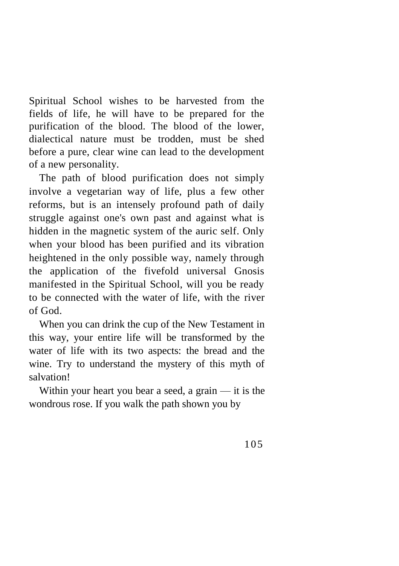Spiritual School wishes to be harvested from the fields of life, he will have to be prepared for the purification of the blood. The blood of the lower, dialectical nature must be trodden, must be shed before a pure, clear wine can lead to the development of a new personality.

The path of blood purification does not simply involve a vegetarian way of life, plus a few other reforms, but is an intensely profound path of daily struggle against one's own past and against what is hidden in the magnetic system of the auric self. Only when your blood has been purified and its vibration heightened in the only possible way, namely through the application of the fivefold universal Gnosis manifested in the Spiritual School, will you be ready to be connected with the water of life, with the river of God.

When you can drink the cup of the New Testament in this way, your entire life will be transformed by the water of life with its two aspects: the bread and the wine. Try to understand the mystery of this myth of salvation!

Within your heart you bear a seed, a grain  $-$  it is the wondrous rose. If you walk the path shown you by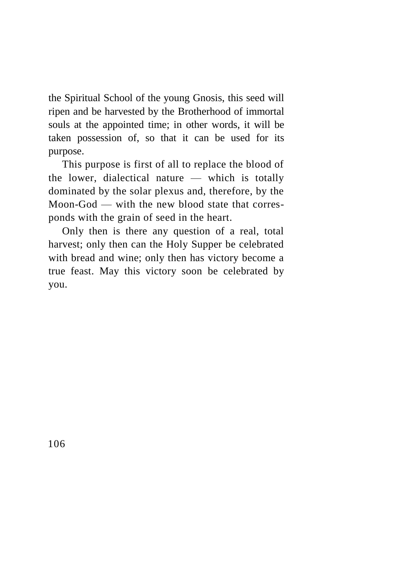the Spiritual School of the young Gnosis, this seed will ripen and be harvested by the Brotherhood of immortal souls at the appointed time; in other words, it will be taken possession of, so that it can be used for its purpose.

This purpose is first of all to replace the blood of the lower, dialectical nature — which is totally dominated by the solar plexus and, therefore, by the Moon-God — with the new blood state that corresponds with the grain of seed in the heart.

Only then is there any question of a real, total harvest; only then can the Holy Supper be celebrated with bread and wine; only then has victory become a true feast. May this victory soon be celebrated by you.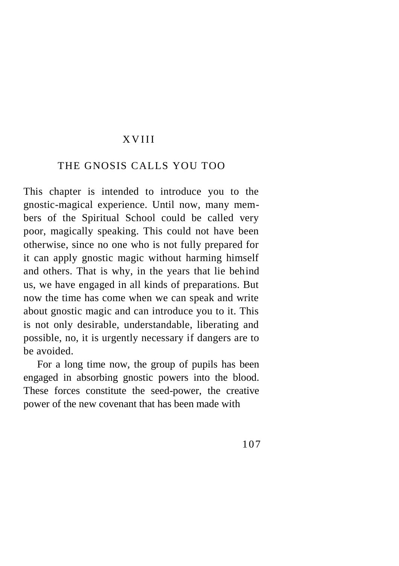#### **XVIII**

#### THE GNOSIS CALLS YOU TOO

This chapter is intended to introduce you to the gnostic-magical experience. Until now, many members of the Spiritual School could be called very poor, magically speaking. This could not have been otherwise, since no one who is not fully prepared for it can apply gnostic magic without harming himself and others. That is why, in the years that lie behind us, we have engaged in all kinds of preparations. But now the time has come when we can speak and write about gnostic magic and can introduce you to it. This is not only desirable, understandable, liberating and possible, no, it is urgently necessary if dangers are to be avoided.

For a long time now, the group of pupils has been engaged in absorbing gnostic powers into the blood. These forces constitute the seed-power, the creative power of the new covenant that has been made with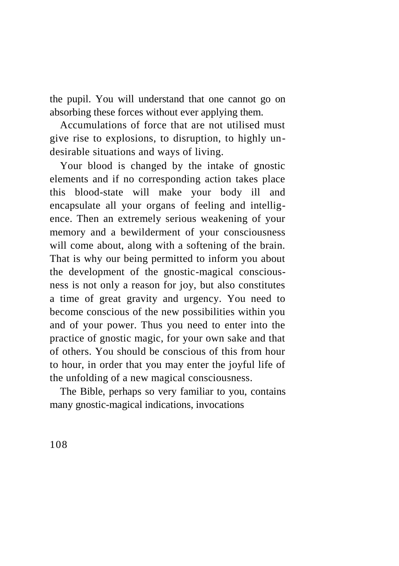the pupil. You will understand that one cannot go on absorbing these forces without ever applying them.

Accumulations of force that are not utilised must give rise to explosions, to disruption, to highly undesirable situations and ways of living.

Your blood is changed by the intake of gnostic elements and if no corresponding action takes place this blood-state will make your body ill and encapsulate all your organs of feeling and intelligence. Then an extremely serious weakening of your memory and a bewilderment of your consciousness will come about, along with a softening of the brain. That is why our being permitted to inform you about the development of the gnostic-magical consciousness is not only a reason for joy, but also constitutes a time of great gravity and urgency. You need to become conscious of the new possibilities within you and of your power. Thus you need to enter into the practice of gnostic magic, for your own sake and that of others. You should be conscious of this from hour to hour, in order that you may enter the joyful life of the unfolding of a new magical consciousness.

The Bible, perhaps so very familiar to you, contains many gnostic-magical indications, invocations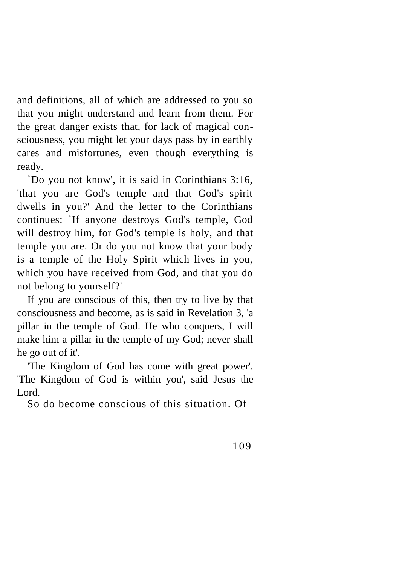and definitions, all of which are addressed to you so that you might understand and learn from them. For the great danger exists that, for lack of magical consciousness, you might let your days pass by in earthly cares and misfortunes, even though everything is ready.

`Do you not know', it is said in Corinthians 3:16, 'that you are God's temple and that God's spirit dwells in you?' And the letter to the Corinthians continues: `If anyone destroys God's temple, God will destroy him, for God's temple is holy, and that temple you are. Or do you not know that your body is a temple of the Holy Spirit which lives in you, which you have received from God, and that you do not belong to yourself?'

If you are conscious of this, then try to live by that consciousness and become, as is said in Revelation 3, 'a pillar in the temple of God. He who conquers, I will make him a pillar in the temple of my God; never shall he go out of it'.

'The Kingdom of God has come with great power'. 'The Kingdom of God is within you', said Jesus the Lord.

So do become conscious of this situation. Of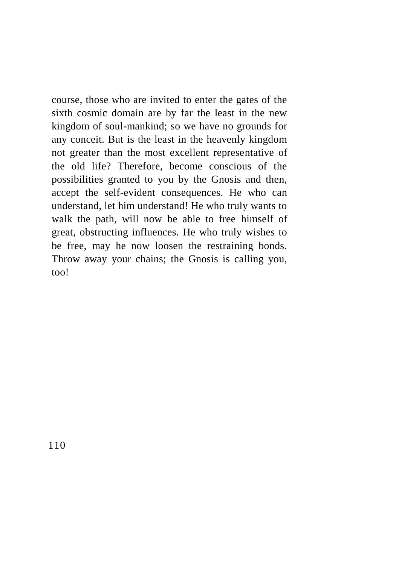course, those who are invited to enter the gates of the sixth cosmic domain are by far the least in the new kingdom of soul-mankind; so we have no grounds for any conceit. But is the least in the heavenly kingdom not greater than the most excellent representative of the old life? Therefore, become conscious of the possibilities granted to you by the Gnosis and then, accept the self-evident consequences. He who can understand, let him understand! He who truly wants to walk the path, will now be able to free himself of great, obstructing influences. He who truly wishes to be free, may he now loosen the restraining bonds. Throw away your chains; the Gnosis is calling you, too!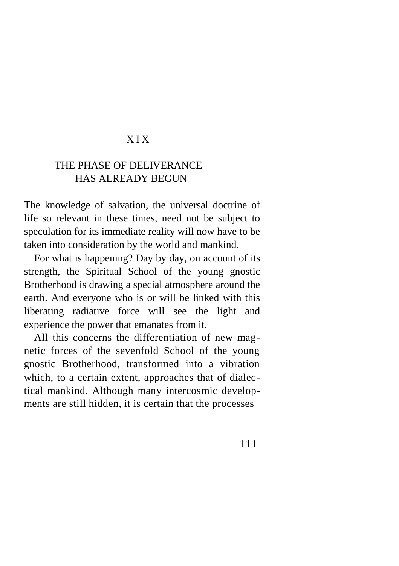# X I X

# THE PHASE OF DELIVERANCE HAS ALREADY BEGUN

The knowledge of salvation, the universal doctrine of life so relevant in these times, need not be subject to speculation for its immediate reality will now have to be taken into consideration by the world and mankind.

For what is happening? Day by day, on account of its strength, the Spiritual School of the young gnostic Brotherhood is drawing a special atmosphere around the earth. And everyone who is or will be linked with this liberating radiative force will see the light and experience the power that emanates from it.

All this concerns the differentiation of new magnetic forces of the sevenfold School of the young gnostic Brotherhood, transformed into a vibration which, to a certain extent, approaches that of dialectical mankind. Although many intercosmic developments are still hidden, it is certain that the processes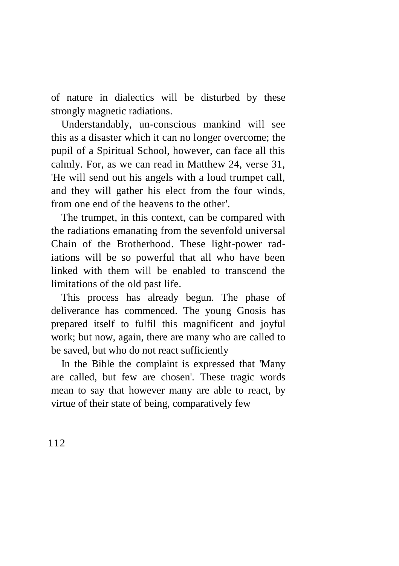of nature in dialectics will be disturbed by these strongly magnetic radiations.

Understandably, un-conscious mankind will see this as a disaster which it can no longer overcome; the pupil of a Spiritual School, however, can face all this calmly. For, as we can read in Matthew 24, verse 31, 'He will send out his angels with a loud trumpet call, and they will gather his elect from the four winds, from one end of the heavens to the other'.

The trumpet, in this context, can be compared with the radiations emanating from the sevenfold universal Chain of the Brotherhood. These light-power radiations will be so powerful that all who have been linked with them will be enabled to transcend the limitations of the old past life.

This process has already begun. The phase of deliverance has commenced. The young Gnosis has prepared itself to fulfil this magnificent and joyful work; but now, again, there are many who are called to be saved, but who do not react sufficiently

In the Bible the complaint is expressed that 'Many are called, but few are chosen'. These tragic words mean to say that however many are able to react, by virtue of their state of being, comparatively few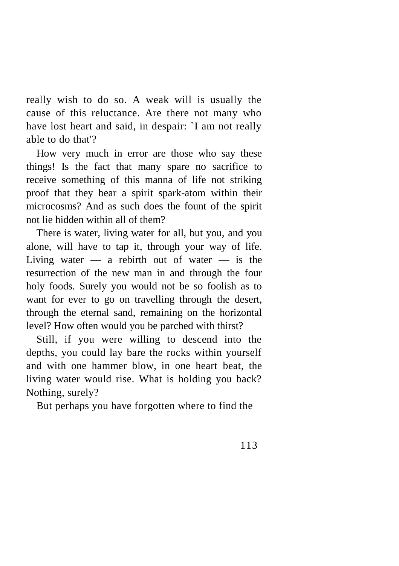really wish to do so. A weak will is usually the cause of this reluctance. Are there not many who have lost heart and said, in despair: `I am not really able to do that'?

How very much in error are those who say these things! Is the fact that many spare no sacrifice to receive something of this manna of life not striking proof that they bear a spirit spark-atom within their microcosms? And as such does the fount of the spirit not lie hidden within all of them?

There is water, living water for all, but you, and you alone, will have to tap it, through your way of life. Living water  $-$  a rebirth out of water  $-$  is the resurrection of the new man in and through the four holy foods. Surely you would not be so foolish as to want for ever to go on travelling through the desert, through the eternal sand, remaining on the horizontal level? How often would you be parched with thirst?

Still, if you were willing to descend into the depths, you could lay bare the rocks within yourself and with one hammer blow, in one heart beat, the living water would rise. What is holding you back? Nothing, surely?

But perhaps you have forgotten where to find the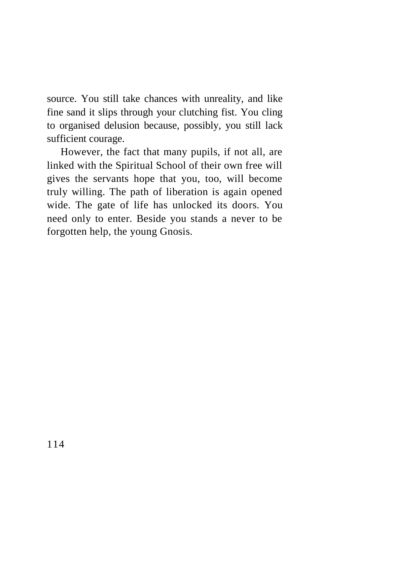source. You still take chances with unreality, and like fine sand it slips through your clutching fist. You cling to organised delusion because, possibly, you still lack sufficient courage.

However, the fact that many pupils, if not all, are linked with the Spiritual School of their own free will gives the servants hope that you, too, will become truly willing. The path of liberation is again opened wide. The gate of life has unlocked its doors. You need only to enter. Beside you stands a never to be forgotten help, the young Gnosis.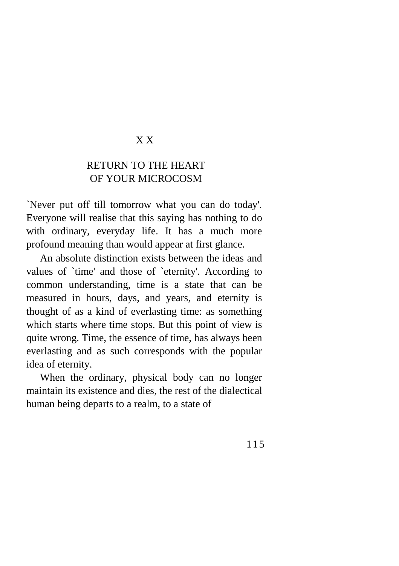#### X X

# RETURN TO THE HEART OF YOUR MICROCOSM

`Never put off till tomorrow what you can do today'. Everyone will realise that this saying has nothing to do with ordinary, everyday life. It has a much more profound meaning than would appear at first glance.

An absolute distinction exists between the ideas and values of `time' and those of `eternity'. According to common understanding, time is a state that can be measured in hours, days, and years, and eternity is thought of as a kind of everlasting time: as something which starts where time stops. But this point of view is quite wrong. Time, the essence of time, has always been everlasting and as such corresponds with the popular idea of eternity.

When the ordinary, physical body can no longer maintain its existence and dies, the rest of the dialectical human being departs to a realm, to a state of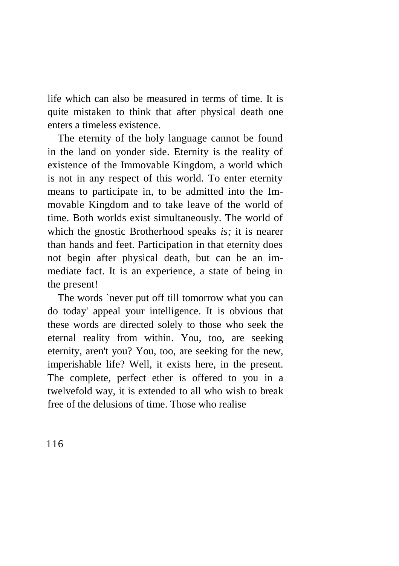life which can also be measured in terms of time. It is quite mistaken to think that after physical death one enters a timeless existence.

The eternity of the holy language cannot be found in the land on yonder side. Eternity is the reality of existence of the Immovable Kingdom, a world which is not in any respect of this world. To enter eternity means to participate in, to be admitted into the Immovable Kingdom and to take leave of the world of time. Both worlds exist simultaneously. The world of which the gnostic Brotherhood speaks *is;* it is nearer than hands and feet. Participation in that eternity does not begin after physical death, but can be an immediate fact. It is an experience, a state of being in the present!

The words `never put off till tomorrow what you can do today' appeal your intelligence. It is obvious that these words are directed solely to those who seek the eternal reality from within. You, too, are seeking eternity, aren't you? You, too, are seeking for the new, imperishable life? Well, it exists here, in the present. The complete, perfect ether is offered to you in a twelvefold way, it is extended to all who wish to break free of the delusions of time. Those who realise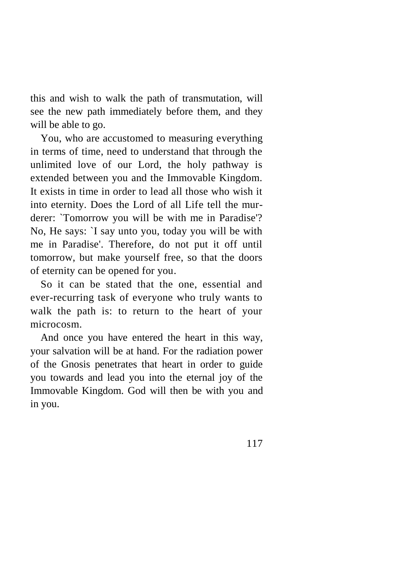this and wish to walk the path of transmutation, will see the new path immediately before them, and they will be able to go.

You, who are accustomed to measuring everything in terms of time, need to understand that through the unlimited love of our Lord, the holy pathway is extended between you and the Immovable Kingdom. It exists in time in order to lead all those who wish it into eternity. Does the Lord of all Life tell the murderer: `Tomorrow you will be with me in Paradise'? No, He says: `I say unto you, today you will be with me in Paradise'. Therefore, do not put it off until tomorrow, but make yourself free, so that the doors of eternity can be opened for you.

So it can be stated that the one, essential and ever-recurring task of everyone who truly wants to walk the path is: to return to the heart of your microcosm.

And once you have entered the heart in this way, your salvation will be at hand. For the radiation power of the Gnosis penetrates that heart in order to guide you towards and lead you into the eternal joy of the Immovable Kingdom. God will then be with you and in you.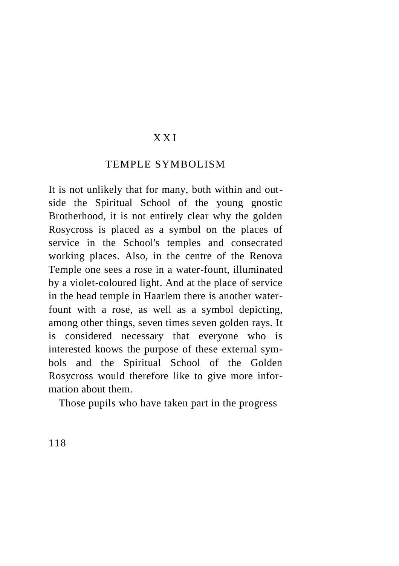#### X X I

#### TEMPLE SYMBOLISM

It is not unlikely that for many, both within and outside the Spiritual School of the young gnostic Brotherhood, it is not entirely clear why the golden Rosycross is placed as a symbol on the places of service in the School's temples and consecrated working places. Also, in the centre of the Renova Temple one sees a rose in a water-fount, illuminated by a violet-coloured light. And at the place of service in the head temple in Haarlem there is another waterfount with a rose, as well as a symbol depicting, among other things, seven times seven golden rays. It is considered necessary that everyone who is interested knows the purpose of these external symbols and the Spiritual School of the Golden Rosycross would therefore like to give more information about them.

Those pupils who have taken part in the progress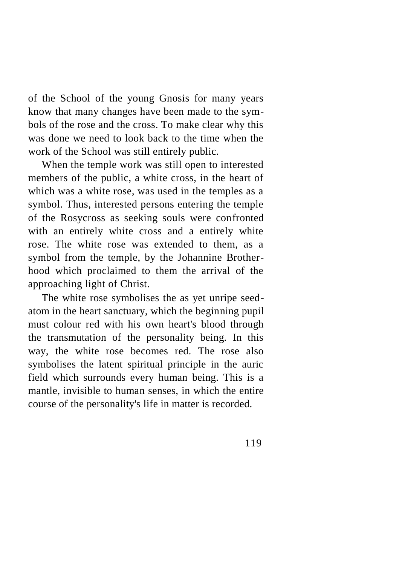of the School of the young Gnosis for many years know that many changes have been made to the symbols of the rose and the cross. To make clear why this was done we need to look back to the time when the work of the School was still entirely public.

When the temple work was still open to interested members of the public, a white cross, in the heart of which was a white rose, was used in the temples as a symbol. Thus, interested persons entering the temple of the Rosycross as seeking souls were confronted with an entirely white cross and a entirely white rose. The white rose was extended to them, as a symbol from the temple, by the Johannine Brotherhood which proclaimed to them the arrival of the approaching light of Christ.

The white rose symbolises the as yet unripe seedatom in the heart sanctuary, which the beginning pupil must colour red with his own heart's blood through the transmutation of the personality being. In this way, the white rose becomes red. The rose also symbolises the latent spiritual principle in the auric field which surrounds every human being. This is a mantle, invisible to human senses, in which the entire course of the personality's life in matter is recorded.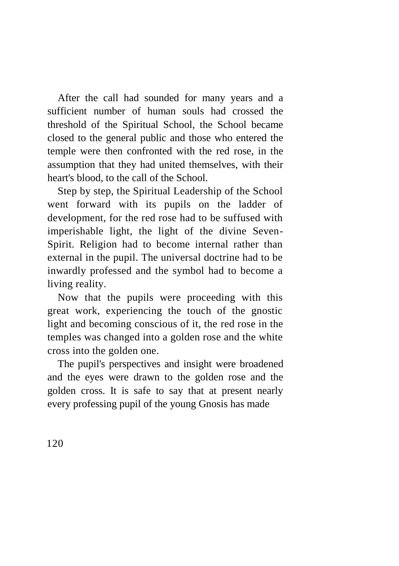After the call had sounded for many years and a sufficient number of human souls had crossed the threshold of the Spiritual School, the School became closed to the general public and those who entered the temple were then confronted with the red rose, in the assumption that they had united themselves, with their heart's blood, to the call of the School.

Step by step, the Spiritual Leadership of the School went forward with its pupils on the ladder of development, for the red rose had to be suffused with imperishable light, the light of the divine Seven-Spirit. Religion had to become internal rather than external in the pupil. The universal doctrine had to be inwardly professed and the symbol had to become a living reality.

Now that the pupils were proceeding with this great work, experiencing the touch of the gnostic light and becoming conscious of it, the red rose in the temples was changed into a golden rose and the white cross into the golden one.

The pupil's perspectives and insight were broadened and the eyes were drawn to the golden rose and the golden cross. It is safe to say that at present nearly every professing pupil of the young Gnosis has made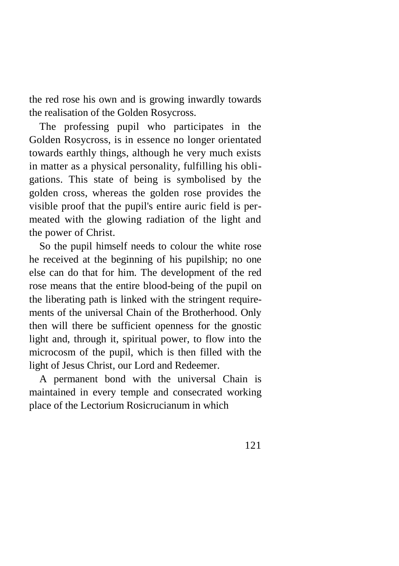the red rose his own and is growing inwardly towards the realisation of the Golden Rosycross.

The professing pupil who participates in the Golden Rosycross, is in essence no longer orientated towards earthly things, although he very much exists in matter as a physical personality, fulfilling his obligations. This state of being is symbolised by the golden cross, whereas the golden rose provides the visible proof that the pupil's entire auric field is permeated with the glowing radiation of the light and the power of Christ.

So the pupil himself needs to colour the white rose he received at the beginning of his pupilship; no one else can do that for him. The development of the red rose means that the entire blood-being of the pupil on the liberating path is linked with the stringent requirements of the universal Chain of the Brotherhood. Only then will there be sufficient openness for the gnostic light and, through it, spiritual power, to flow into the microcosm of the pupil, which is then filled with the light of Jesus Christ, our Lord and Redeemer.

A permanent bond with the universal Chain is maintained in every temple and consecrated working place of the Lectorium Rosicrucianum in which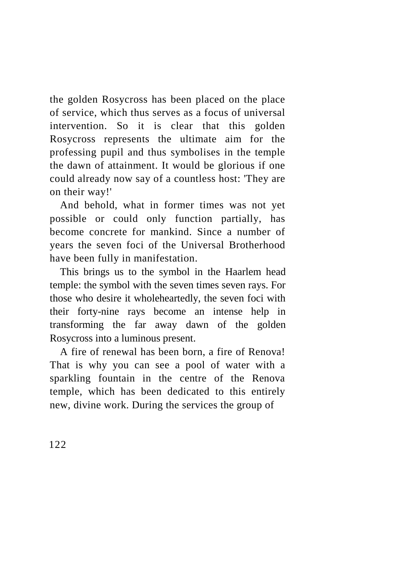the golden Rosycross has been placed on the place of service, which thus serves as a focus of universal intervention. So it is clear that this golden Rosycross represents the ultimate aim for the professing pupil and thus symbolises in the temple the dawn of attainment. It would be glorious if one could already now say of a countless host: 'They are on their way!'

And behold, what in former times was not yet possible or could only function partially, has become concrete for mankind. Since a number of years the seven foci of the Universal Brotherhood have been fully in manifestation.

This brings us to the symbol in the Haarlem head temple: the symbol with the seven times seven rays. For those who desire it wholeheartedly, the seven foci with their forty-nine rays become an intense help in transforming the far away dawn of the golden Rosycross into a luminous present.

A fire of renewal has been born, a fire of Renova! That is why you can see a pool of water with a sparkling fountain in the centre of the Renova temple, which has been dedicated to this entirely new, divine work. During the services the group of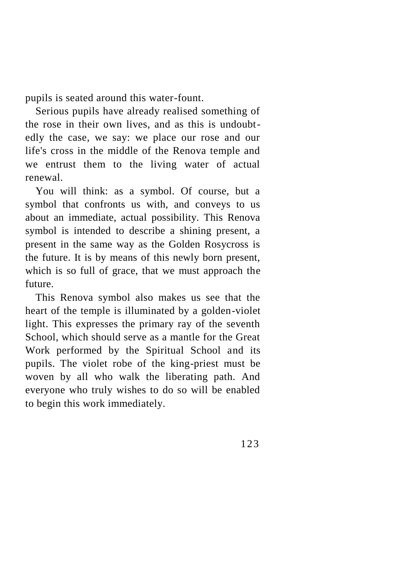pupils is seated around this water-fount.

Serious pupils have already realised something of the rose in their own lives, and as this is undoubtedly the case, we say: we place our rose and our life's cross in the middle of the Renova temple and we entrust them to the living water of actual renewal.

You will think: as a symbol. Of course, but a symbol that confronts us with, and conveys to us about an immediate, actual possibility. This Renova symbol is intended to describe a shining present, a present in the same way as the Golden Rosycross is the future. It is by means of this newly born present, which is so full of grace, that we must approach the future.

This Renova symbol also makes us see that the heart of the temple is illuminated by a golden-violet light. This expresses the primary ray of the seventh School, which should serve as a mantle for the Great Work performed by the Spiritual School and its pupils. The violet robe of the king-priest must be woven by all who walk the liberating path. And everyone who truly wishes to do so will be enabled to begin this work immediately.